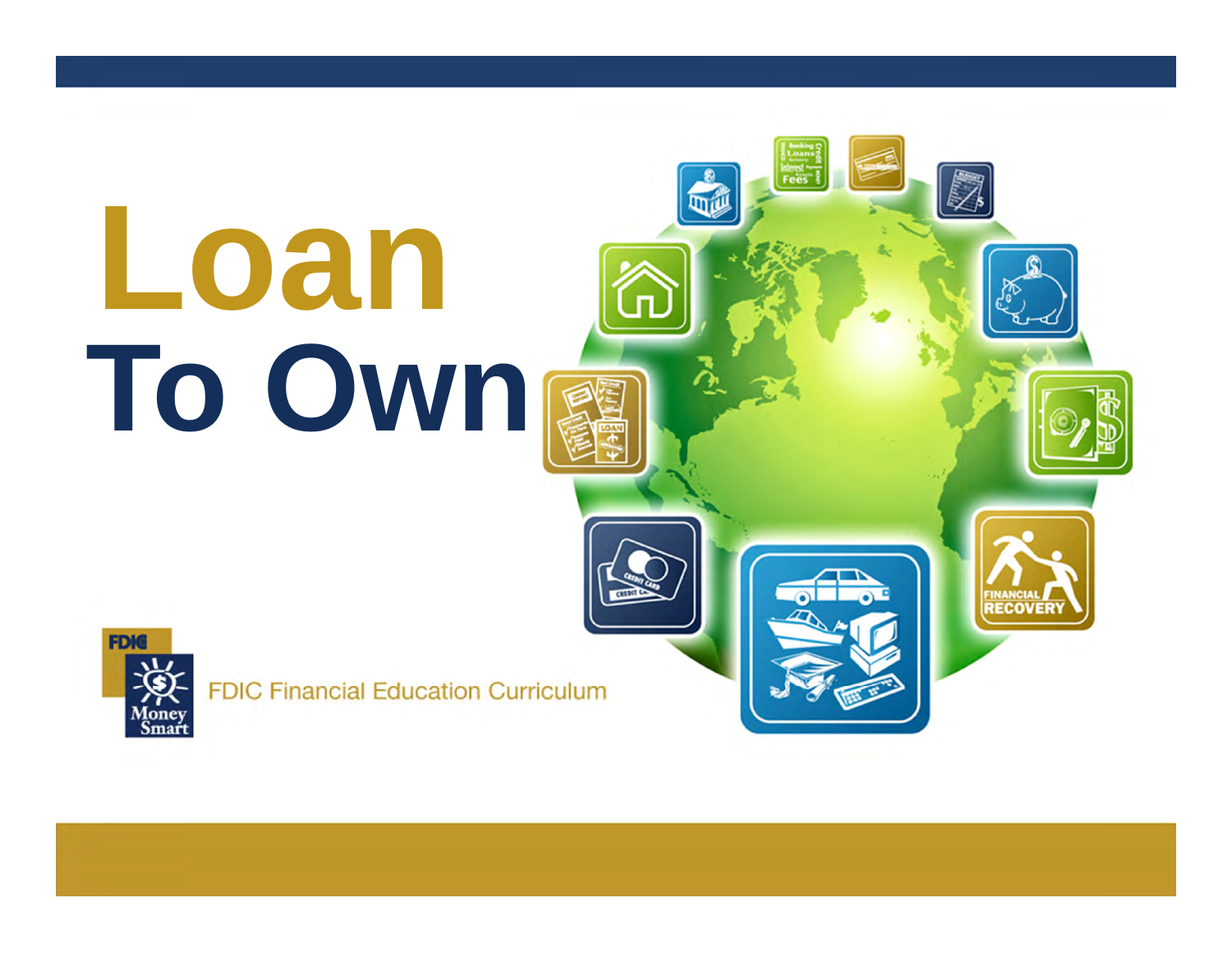# **Loan To OWN**



**FDIC Financial Education Curriculum** 

**RECOVERY**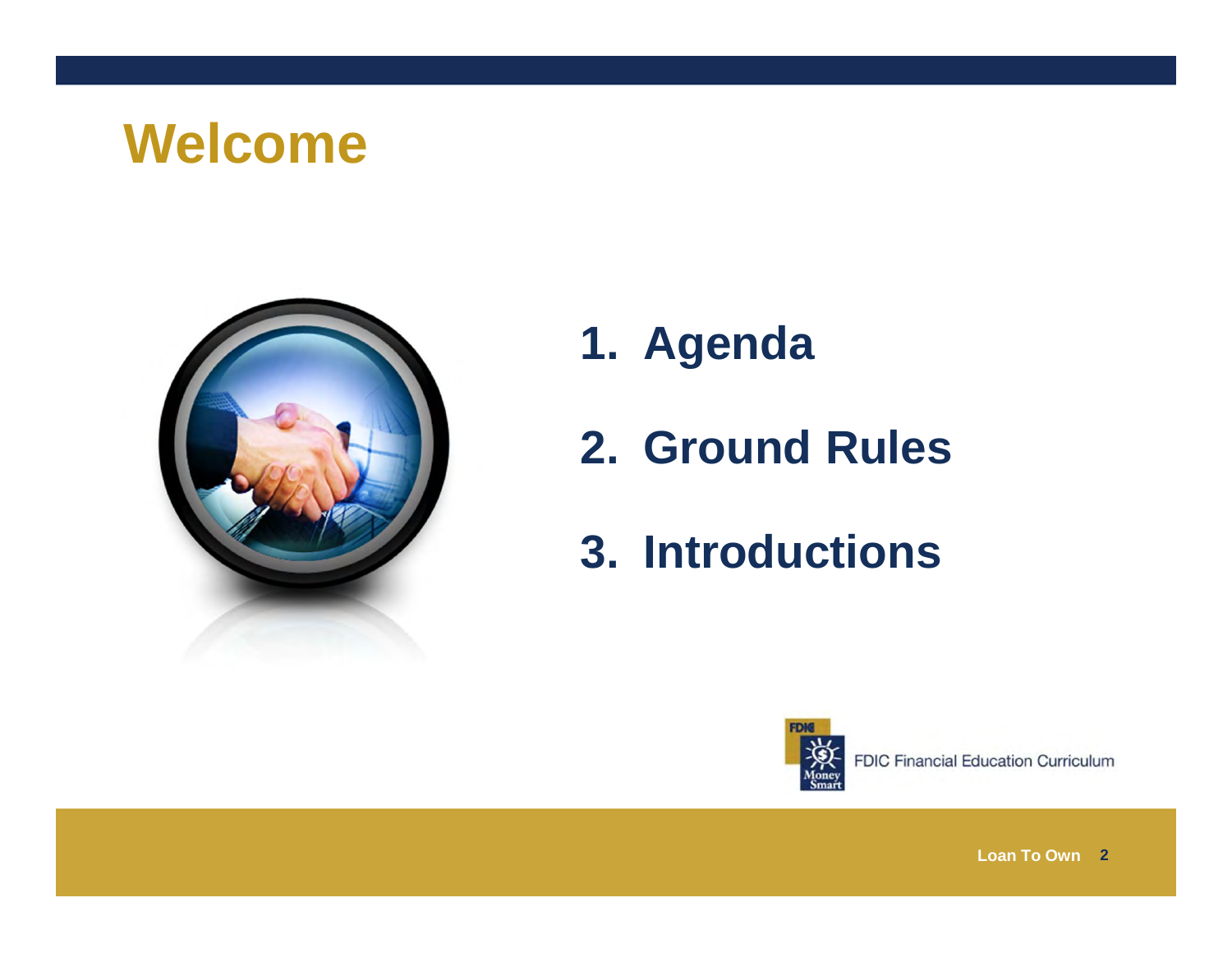#### **Welcome**



- **1. Agenda**
- **2. Ground Rules**
- **3. Introductions**

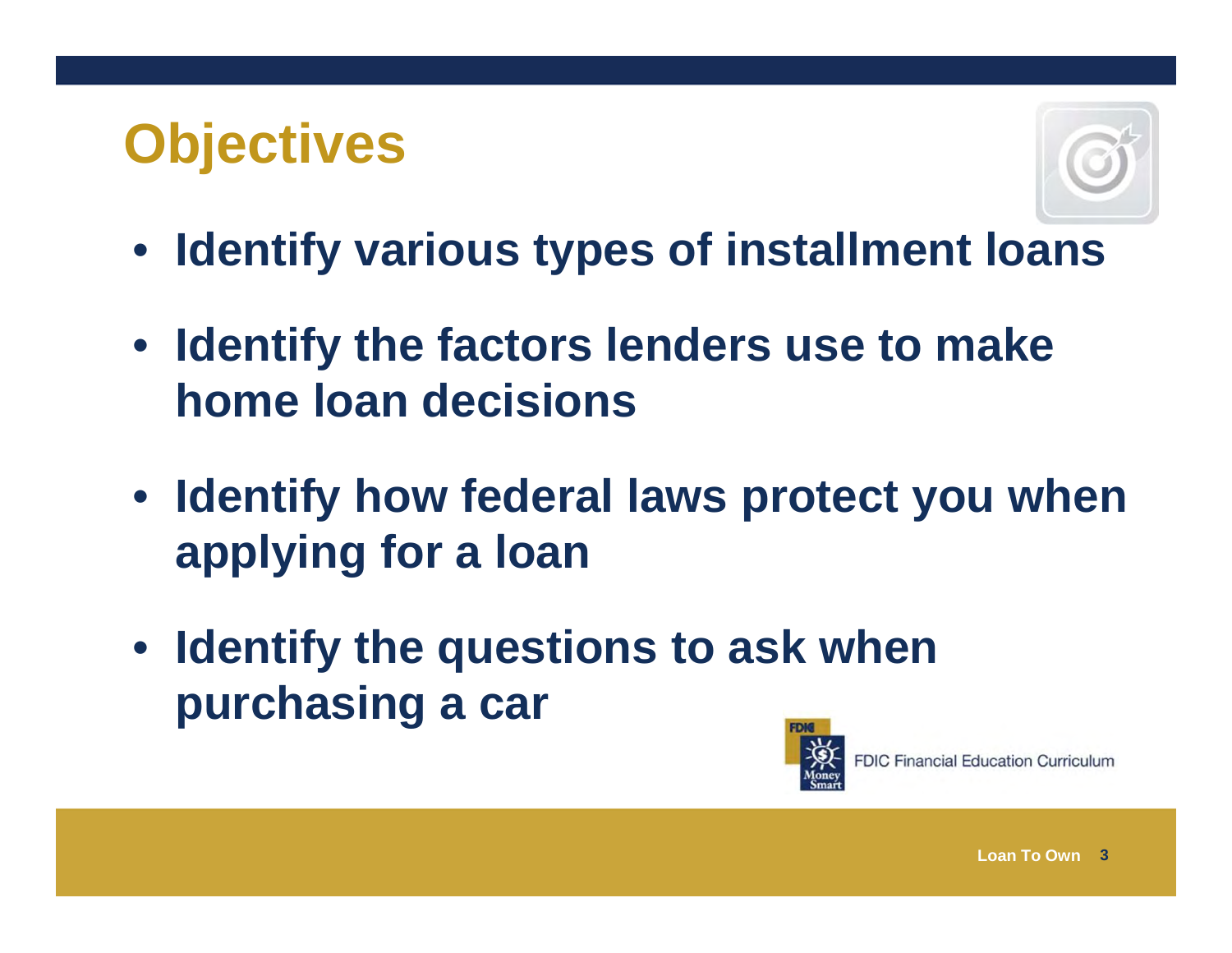#### **Objectives**



- **Identify various types of installment loans**
- **Identify the factors lenders use to make home loan decisions**
- **Identify how federal laws protect you when applying for a loan**
- **Identify the questions to ask when purchasing a car**

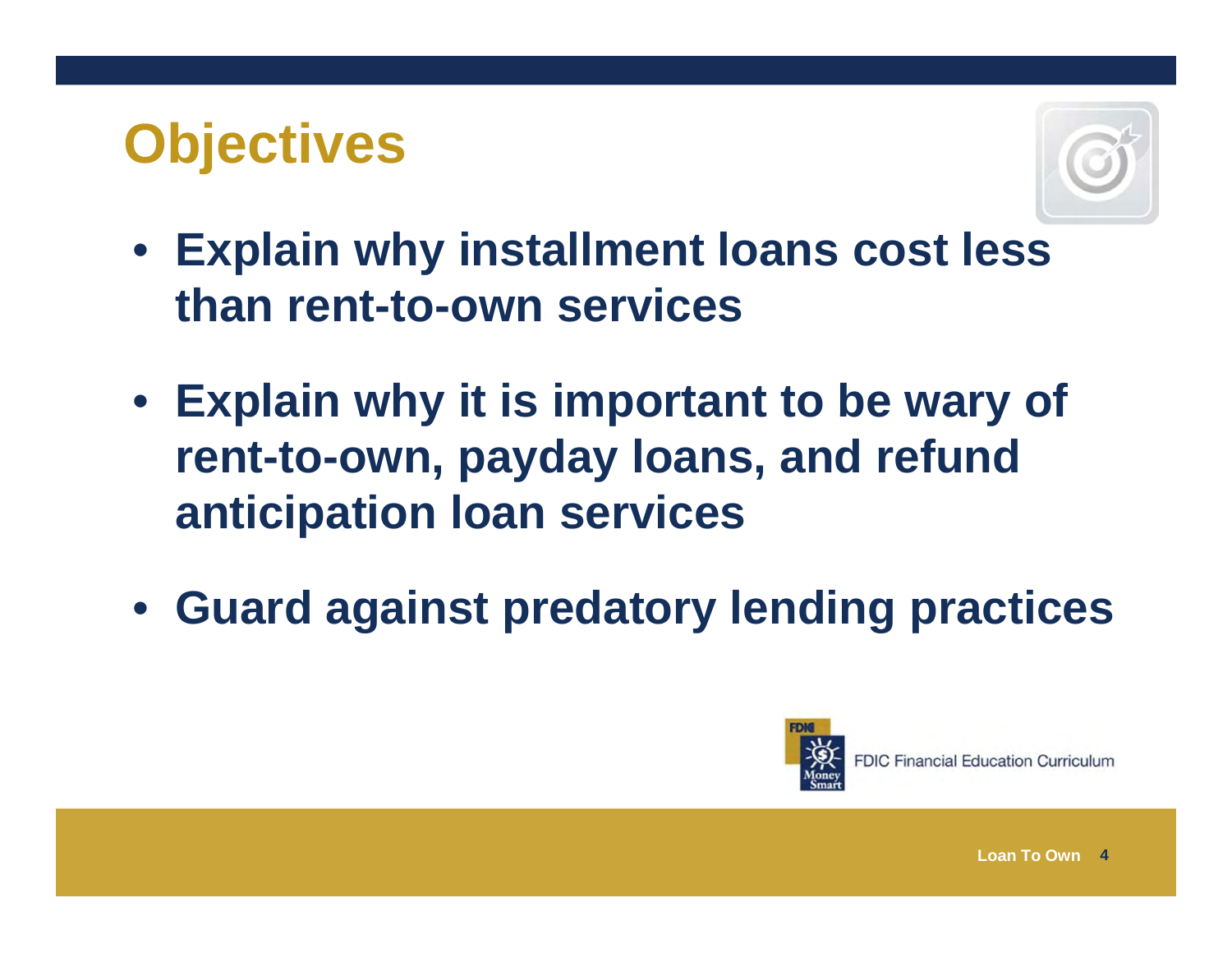#### **Objectives**



- **Explain why installment loans cost less than rent-to-own services**
- **Explain why it is important to be wary of rent-to-own, payday loans, and refund anticipation loan services**
- **Guard against predatory lending practices**

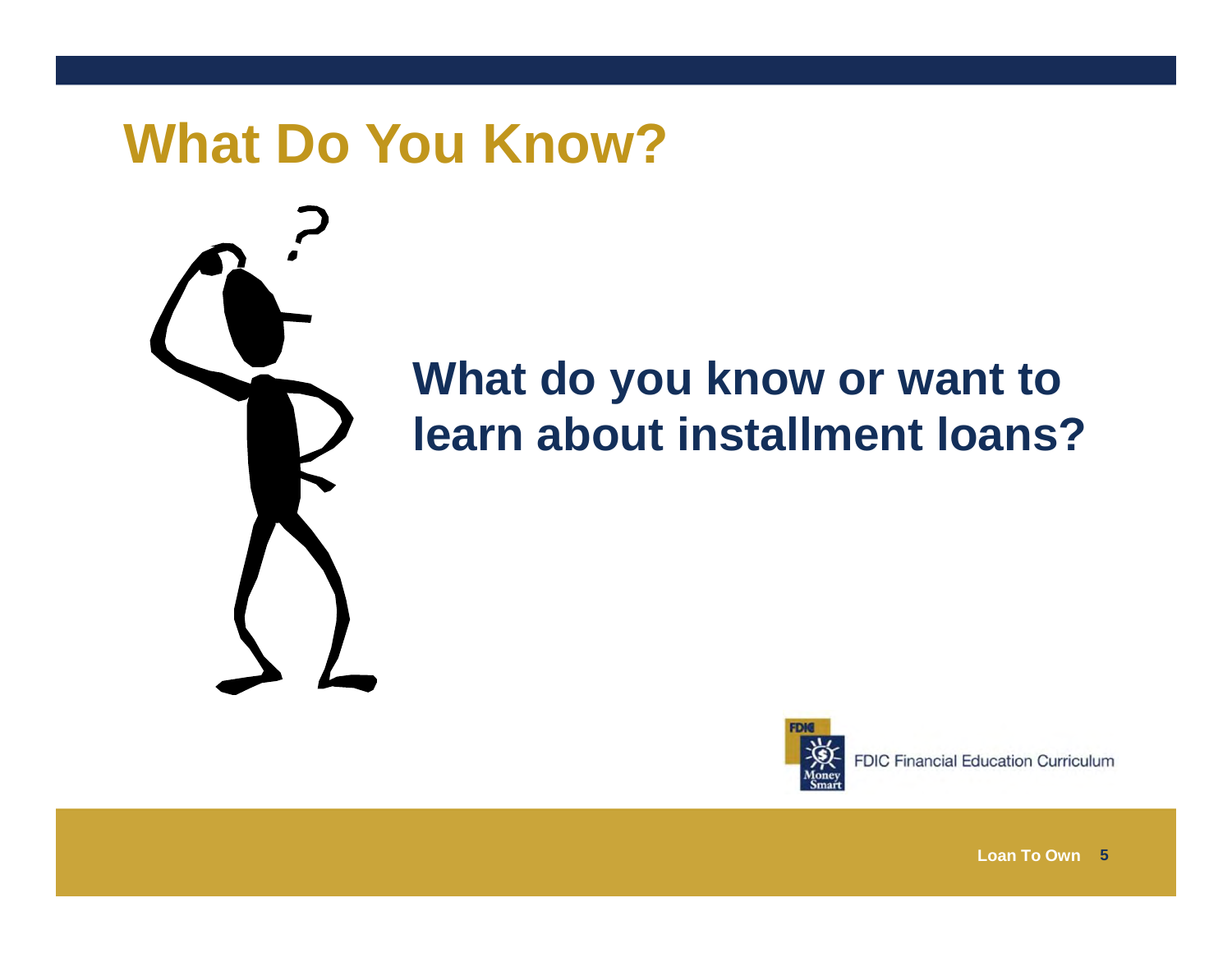#### **What Do You Know?**



#### **What do you know or want to learn about installment loans?**



**FDIC Financial Education Curriculum**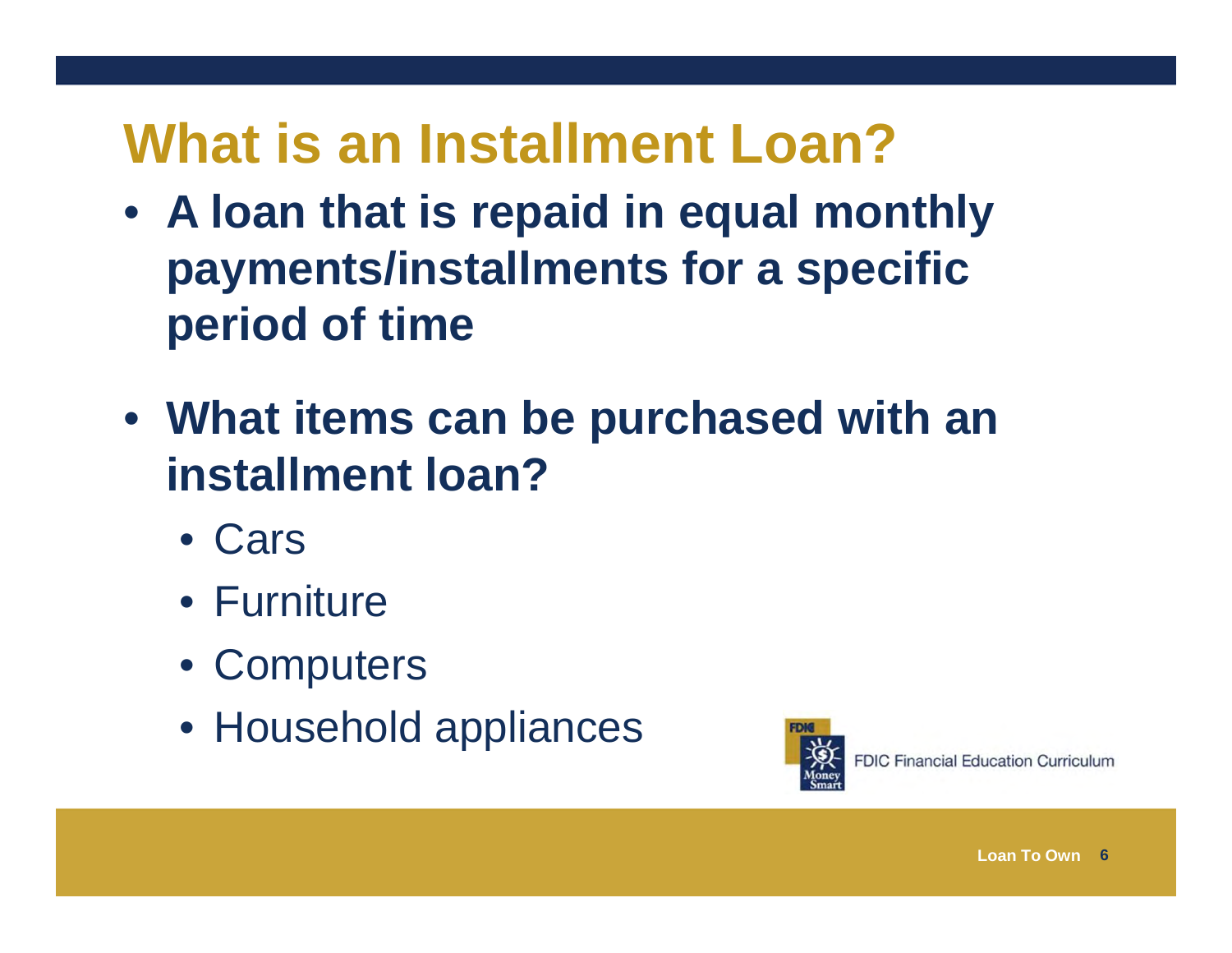# **What is an Installment Loan?**

- **A loan that is repaid in equal monthly payments/installments for a specific period of time**
- **What items can be purchased with an installment loan?**
	- Cars
	- Furniture
	- Computers
	- Household appliances

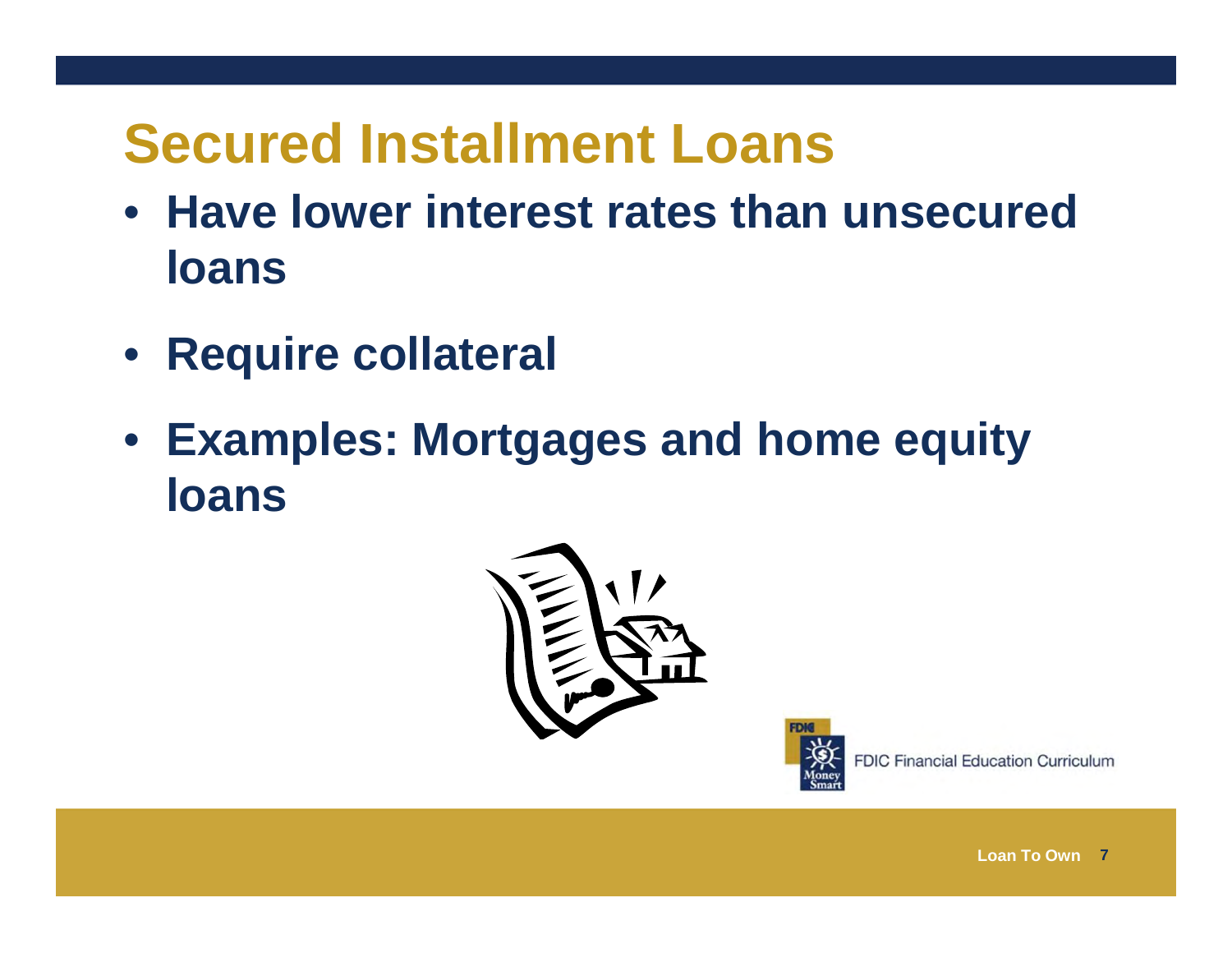# **Secured Installment Loans**

- **Have lower interest rates than unsecured loans**
- **Require collateral**
- **Examples: Mortgages and home equity loans**



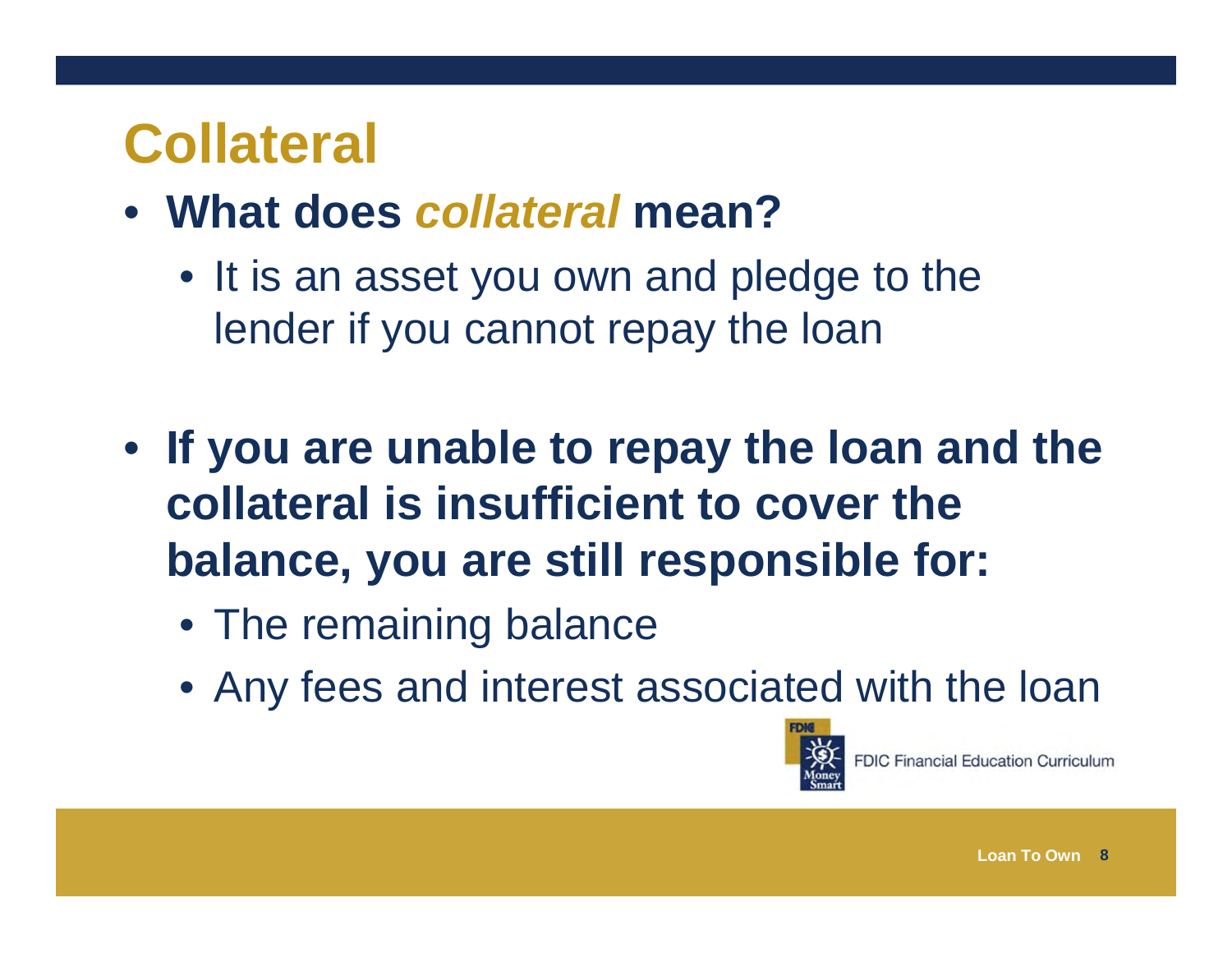#### **Collateral**

- **What does** *collateral* **mean?**
	- It is an asset you own and pledge to the lender if you cannot repay the loan
- **If you are unable to repay the loan and the collateral is insufficient to cover the balance, you are still responsible for:**
	- The remaining balance
	- Any fees and interest associated with the loan

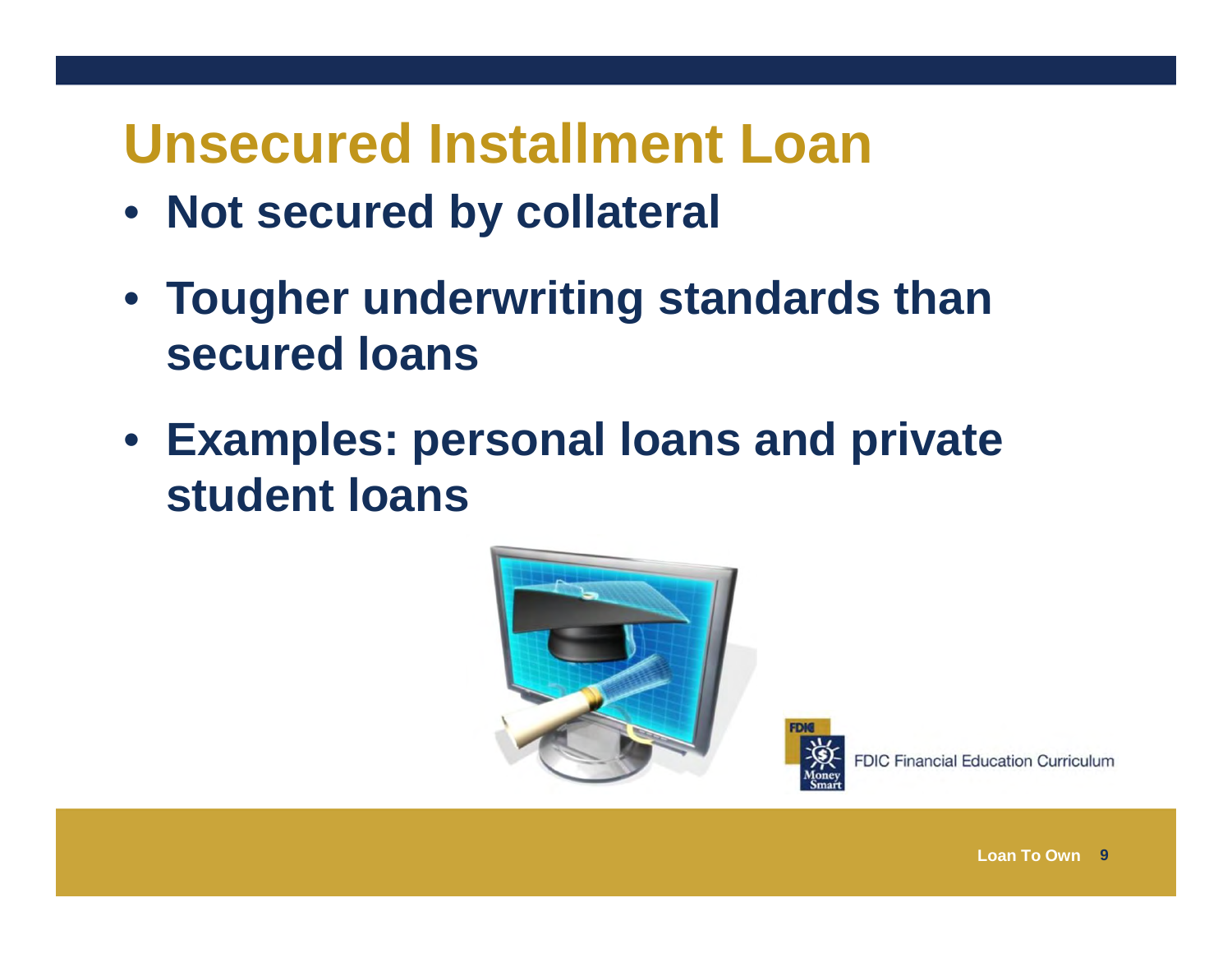#### **Unsecured Installment Loan**

- **Not secured by collateral**
- **Tougher underwriting standards than secured loans**
- **Examples: personal loans and private student loans**



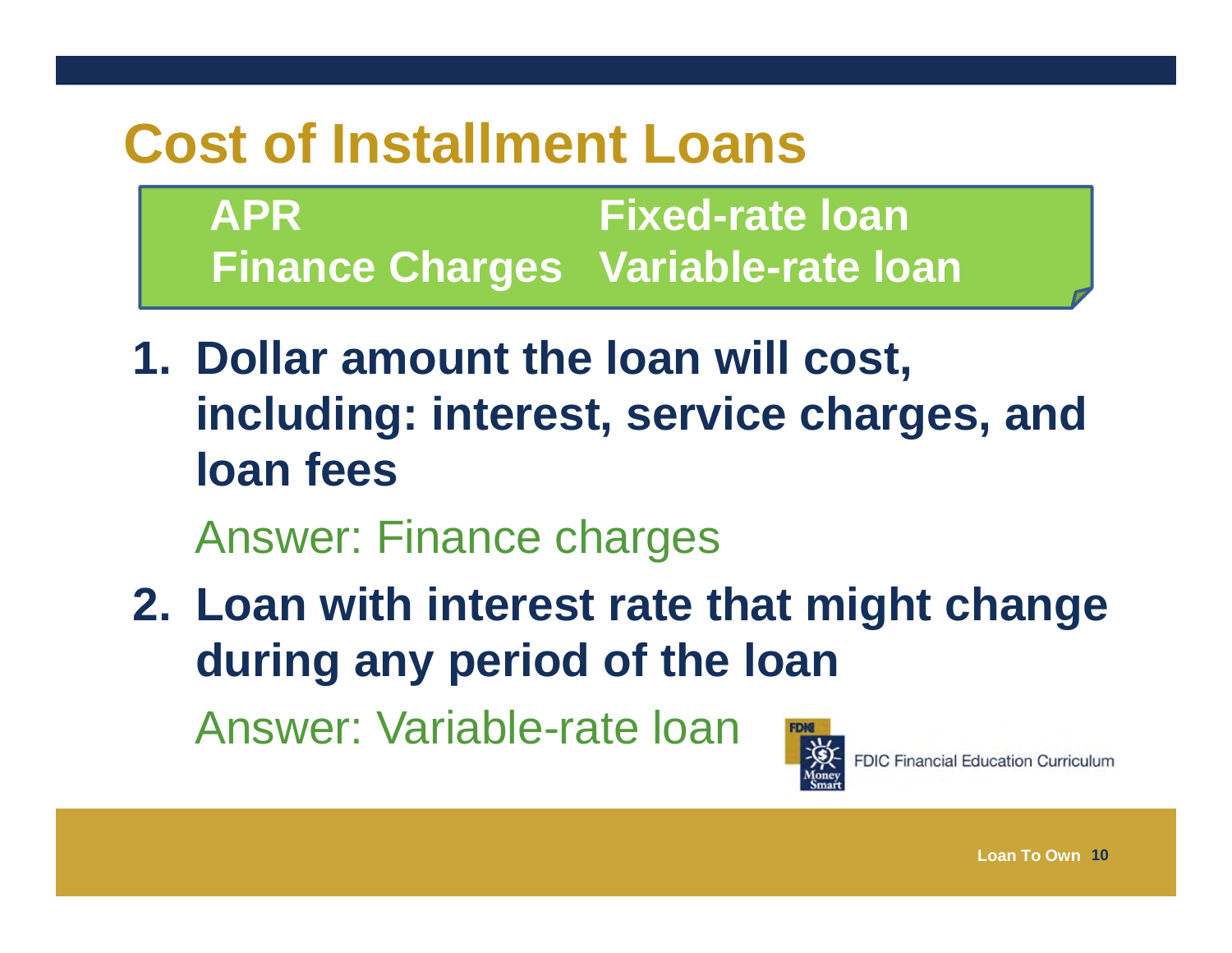#### **Cost of Installment Loans**

**APR Fixed-rate loan Finance Charges Variable-rate loan**

**1. Dollar amount the loan will cost, including: interest, service charges, and loan fees**

Answer: Finance charges

**2. Loan with interest rate that might change during any period of the loan**

Answer: Variable-rate loan



**FDIC Financial Education Curriculum**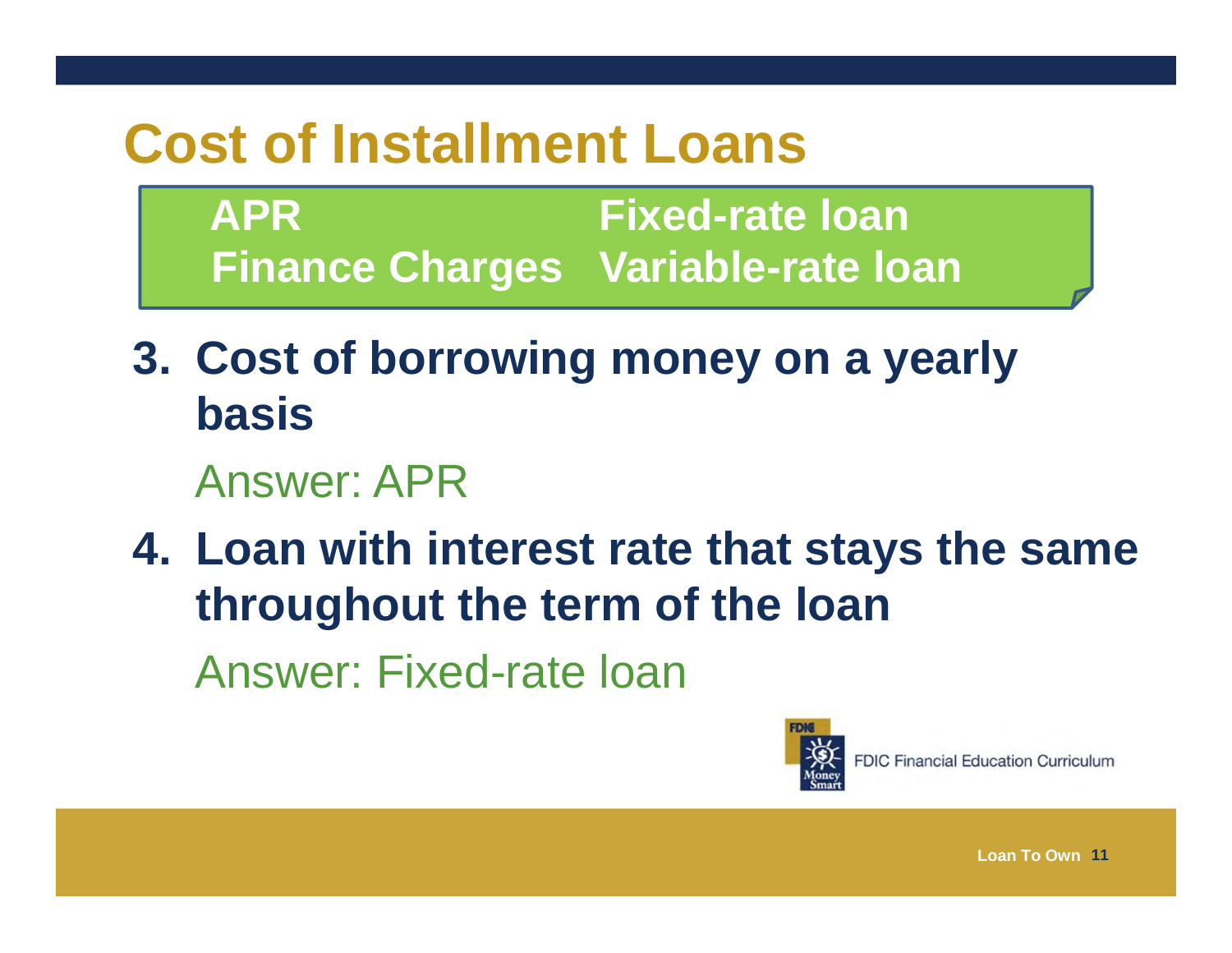#### **Cost of Installment Loans**

**APR Fixed-rate loan Finance Charges Variable-rate loan**

**3. Cost of borrowing money on a yearly basis** 

#### Answer: APR

**4. Loan with interest rate that stays the same throughout the term of the loan** Answer: Fixed-rate loan

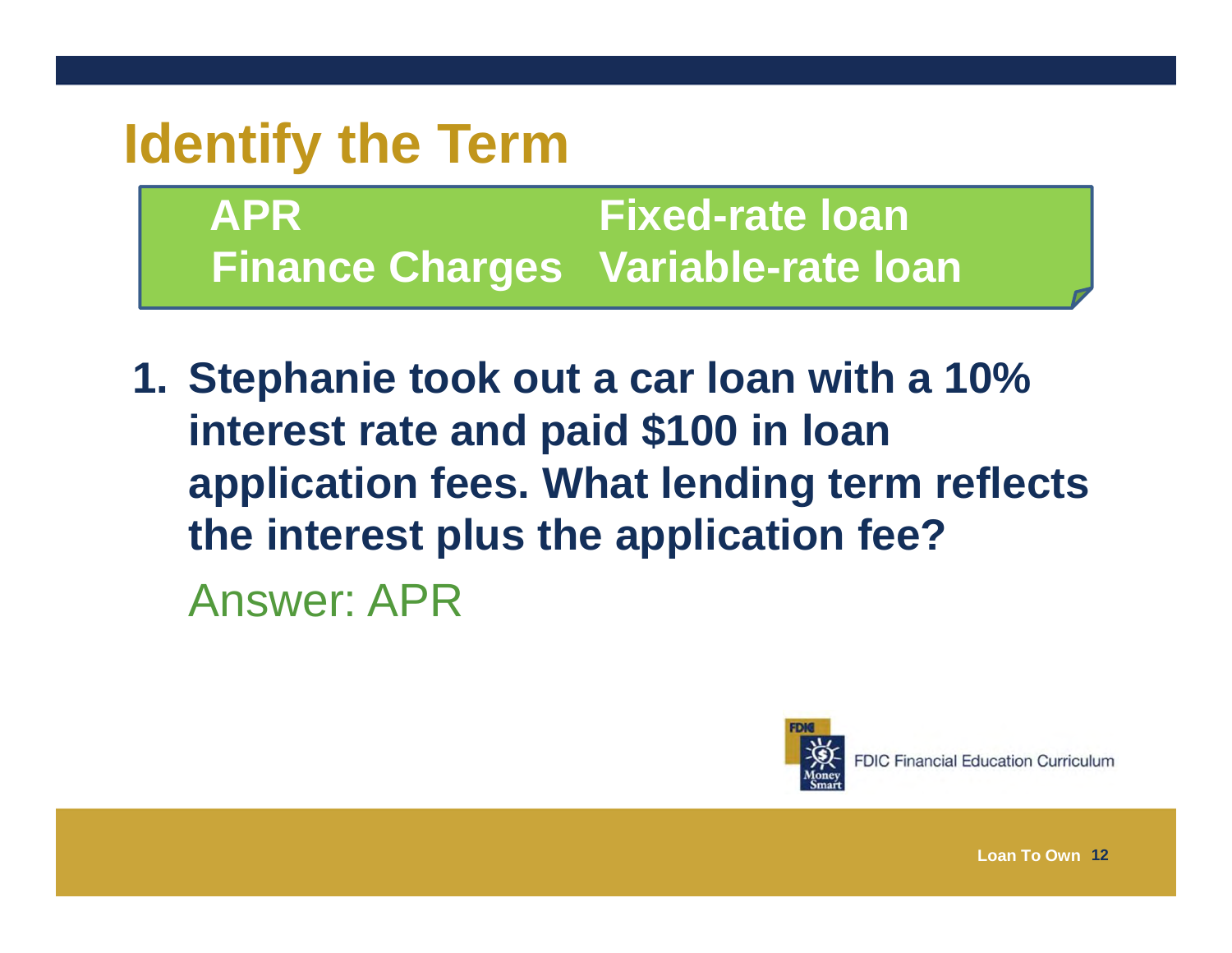#### **Identify the Term**

**APR Fixed-rate loan Finance Charges Variable-rate loan**

**1. Stephanie took out a car loan with a 10% interest rate and paid \$100 in loan application fees. What lending term reflects the interest plus the application fee?** Answer: APR



**FDIC Financial Education Curriculum**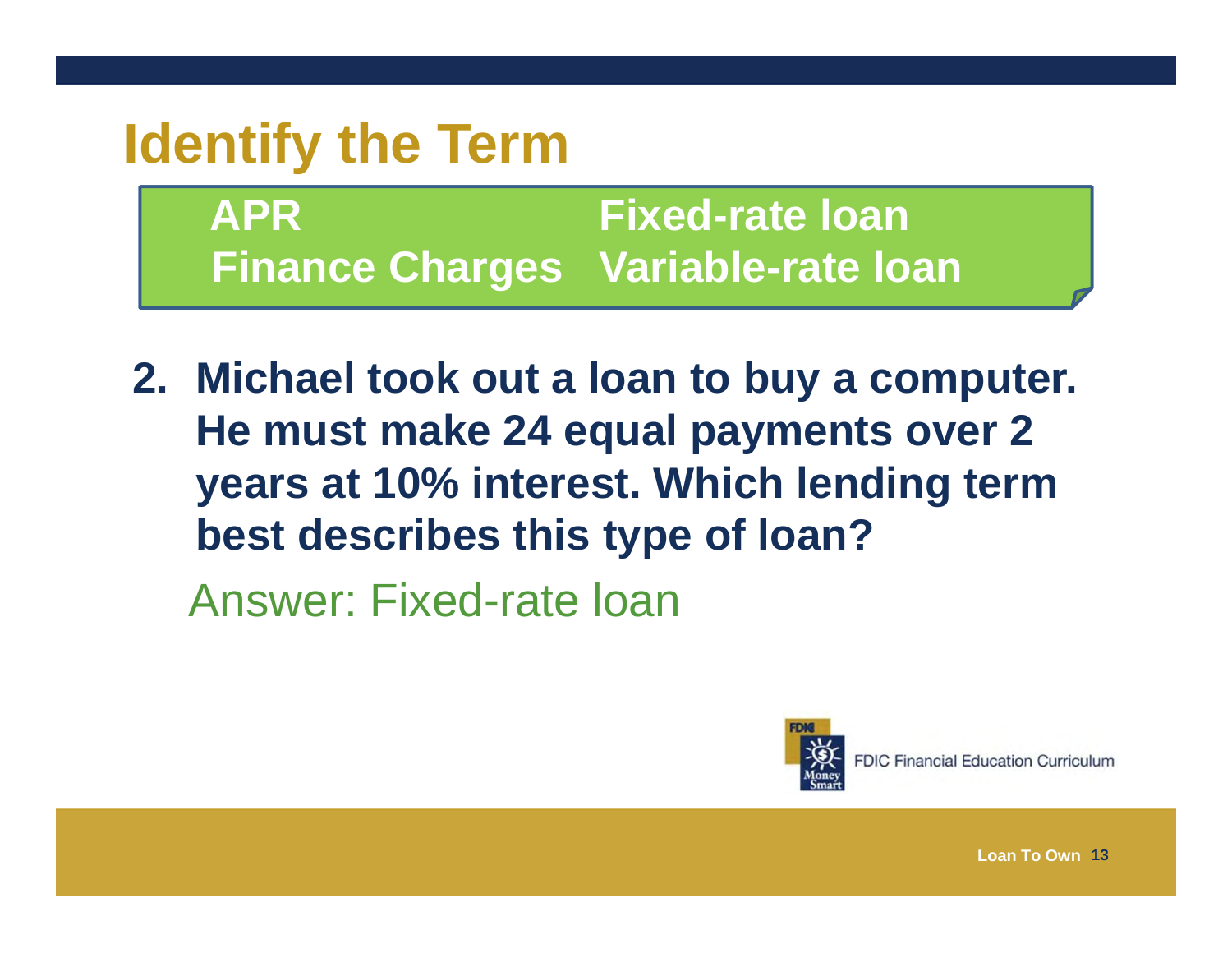#### **Identify the Term**

**APR Fixed-rate loan Finance Charges Variable-rate loan**

**2. Michael took out a loan to buy a computer. He must make 24 equal payments over 2 years at 10% interest. Which lending term best describes this type of loan?** Answer: Fixed-rate loan



**FDIC Financial Education Curriculum**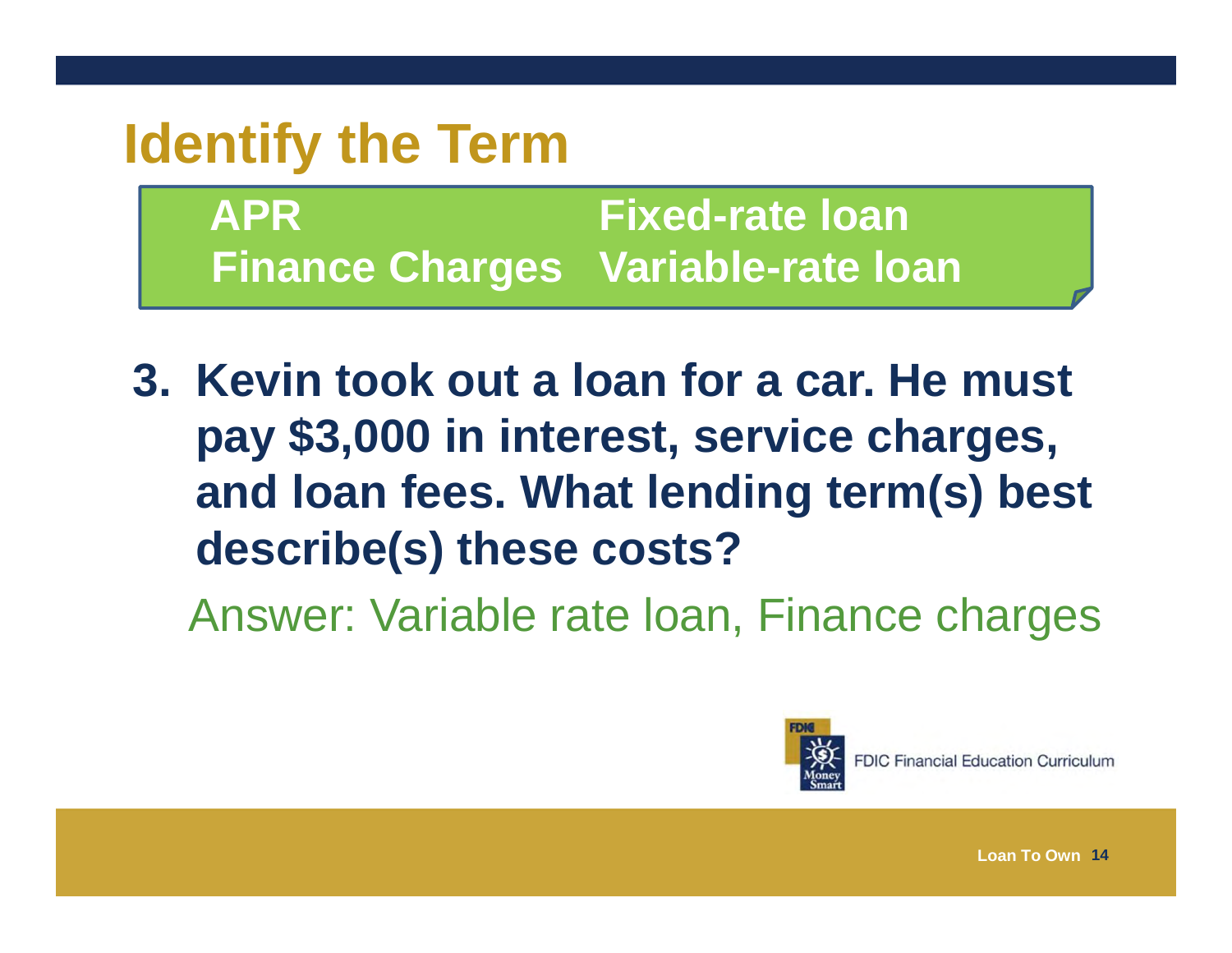#### **Identify the Term**

**APR Fixed-rate loan Finance Charges Variable-rate loan**

**3. Kevin took out a loan for a car. He must pay \$3,000 in interest, service charges, and loan fees. What lending term(s) best describe(s) these costs?**

Answer: Variable rate loan, Finance charges



**FDIC Financial Education Curriculum**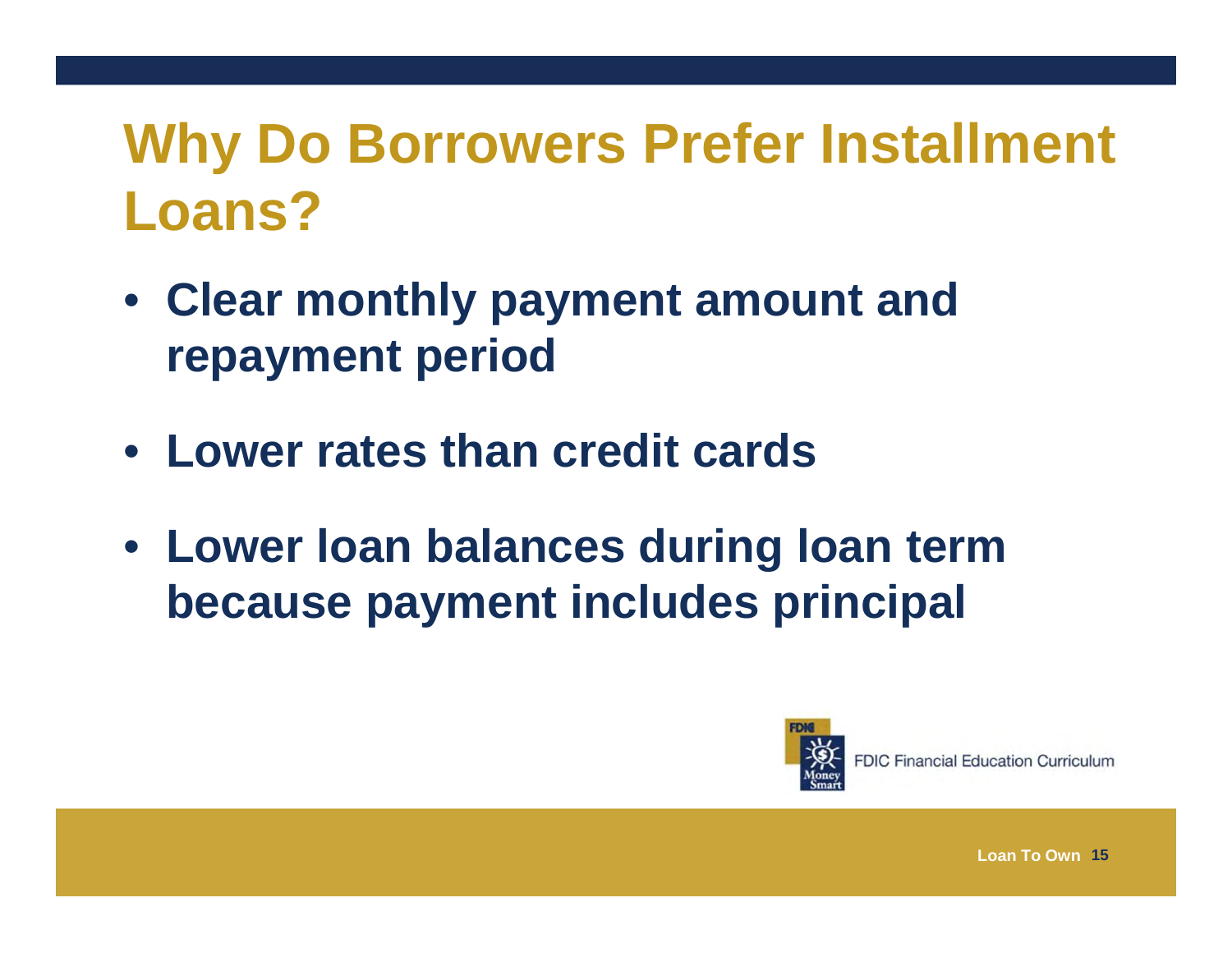# **Why Do Borrowers Prefer Installment Loans?**

- **Clear monthly payment amount and repayment period**
- **Lower rates than credit cards**
- **Lower loan balances during loan term because payment includes principal**



**FDIC Financial Education Curriculum**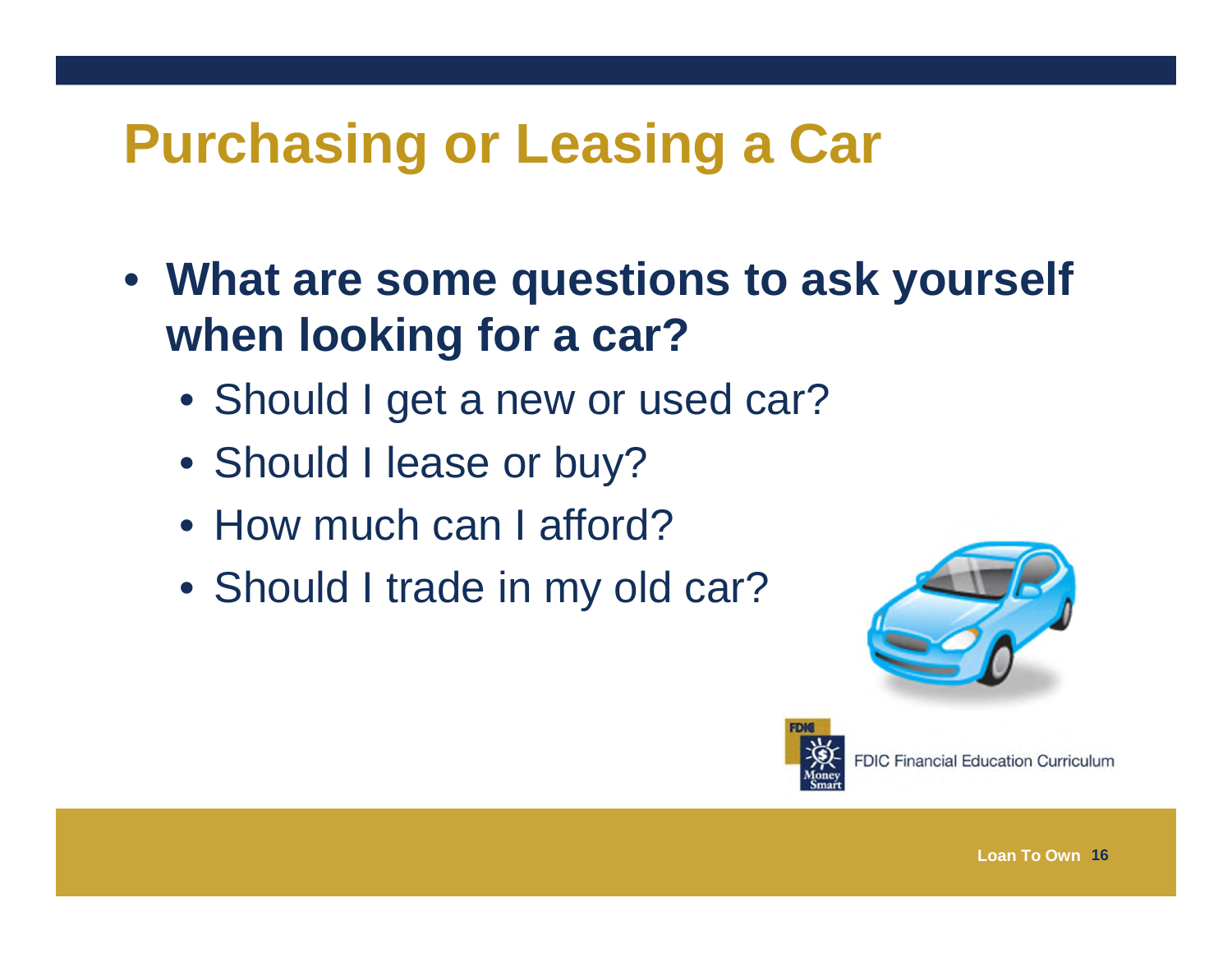# **Purchasing or Leasing a Car**

- **What are some questions to ask yourself when looking for a car?**
	- Should I get a new or used car?
	- Should I lease or buy?
	- How much can I afford?
	- Should I trade in my old car?



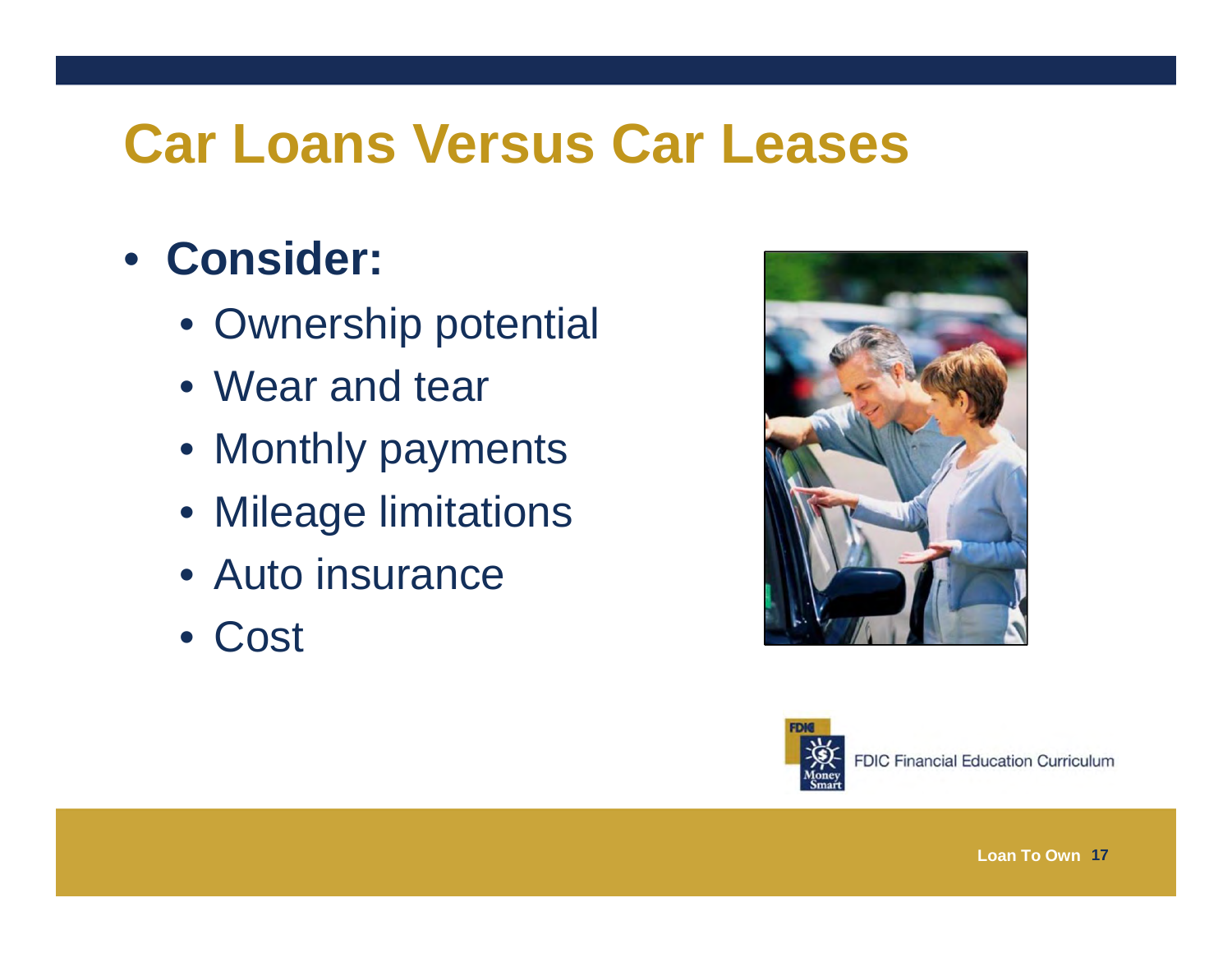#### **Car Loans Versus Car Leases**

#### • **Consider:**

- Ownership potential
- Wear and tear
- Monthly payments
- Mileage limitations
- Auto insurance
- Cost



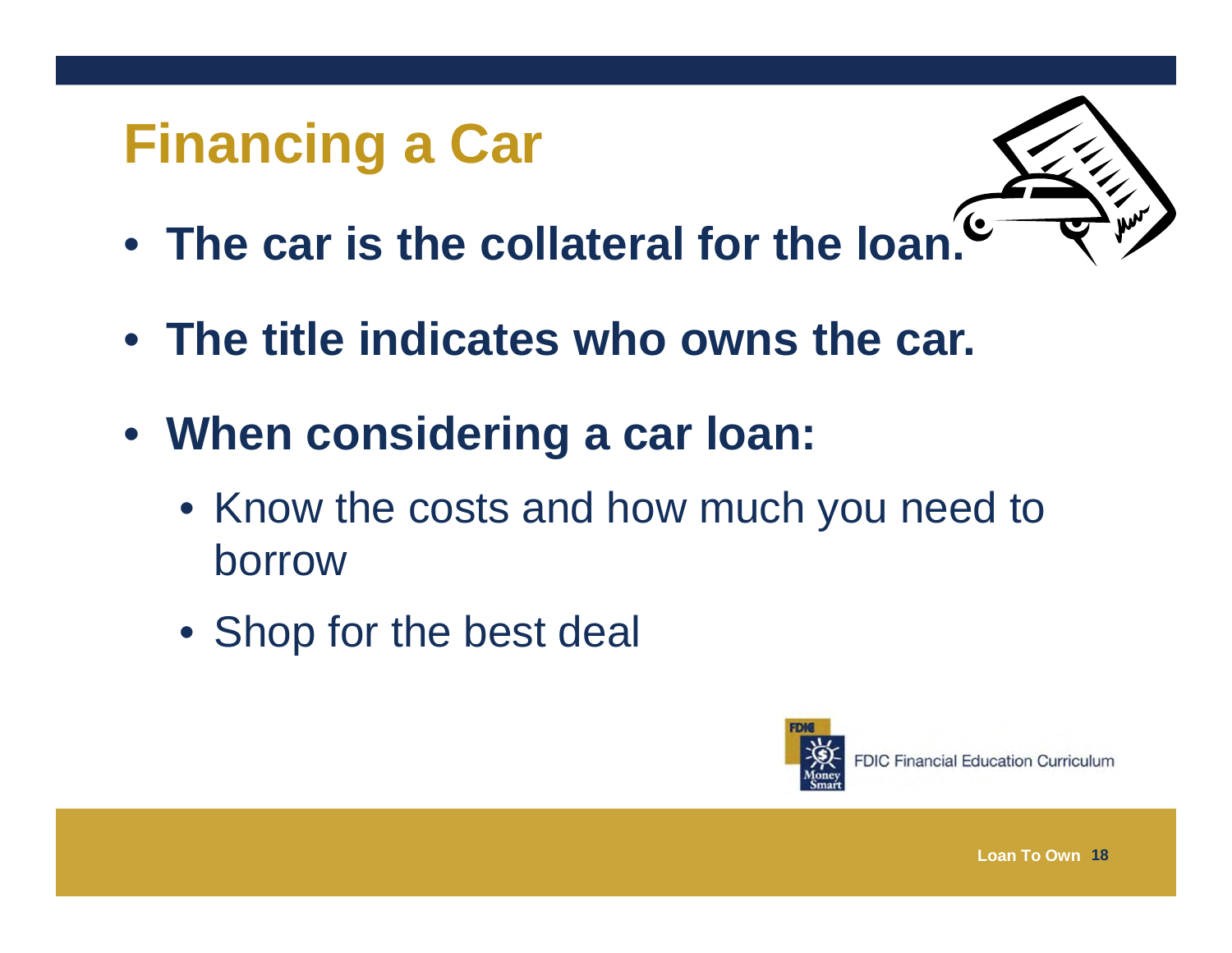# **Financing a Car**



- **The car is the collateral for the loan.**
- **The title indicates who owns the car.**
- **When considering a car loan:**
	- Know the costs and how much you need to borrow
	- Shop for the best deal



**FDIC Financial Education Curriculum**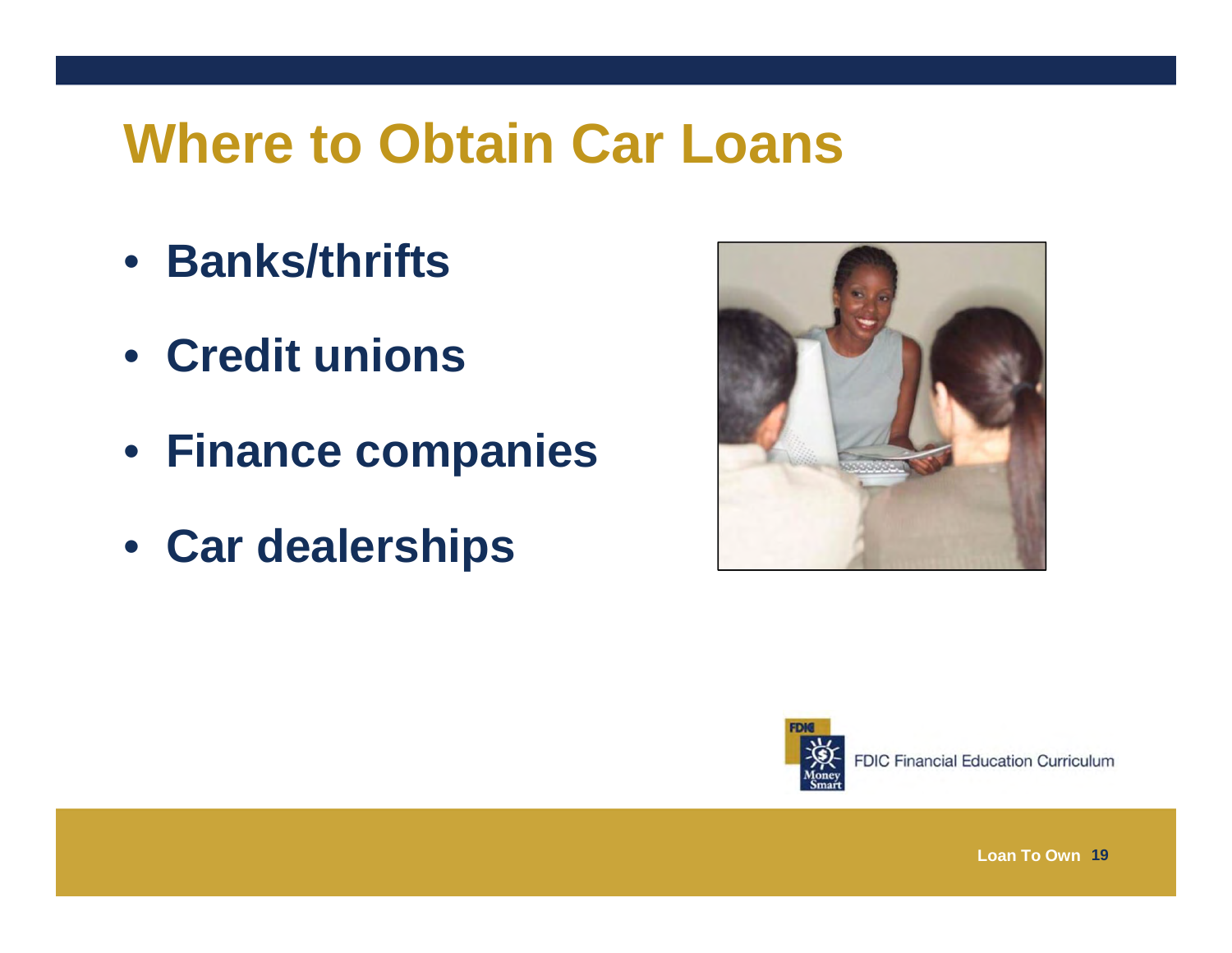#### **Where to Obtain Car Loans**

- **Banks/thrifts**
- **Credit unions**
- **Finance companies**
- **Car dealerships**





**FDIC Financial Education Curriculum**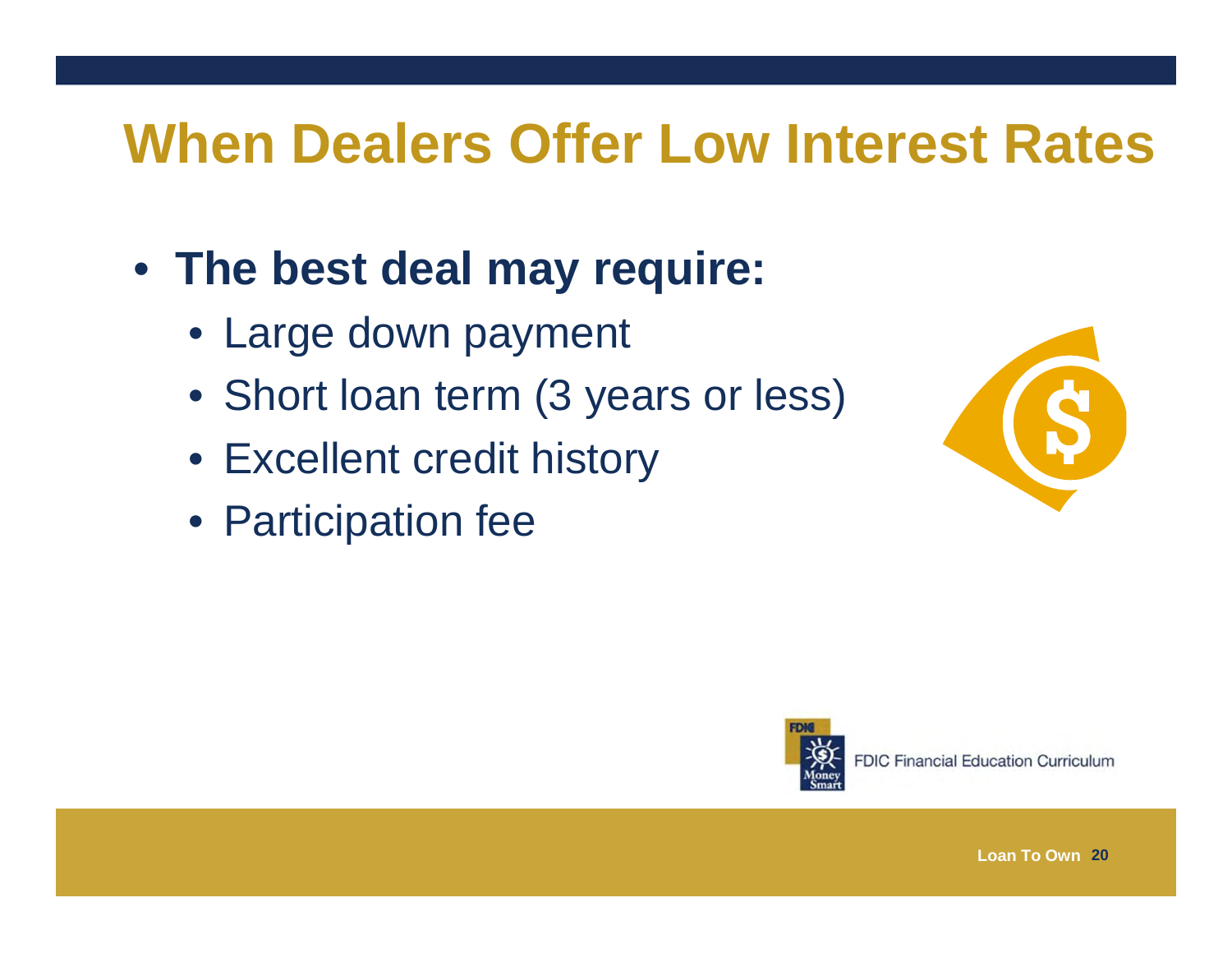#### **When Dealers Offer Low Interest Rates**

- **The best deal may require:**
	- Large down payment
	- Short loan term (3 years or less)
	- Excellent credit history
	- Participation fee





**FDIC Financial Education Curriculum**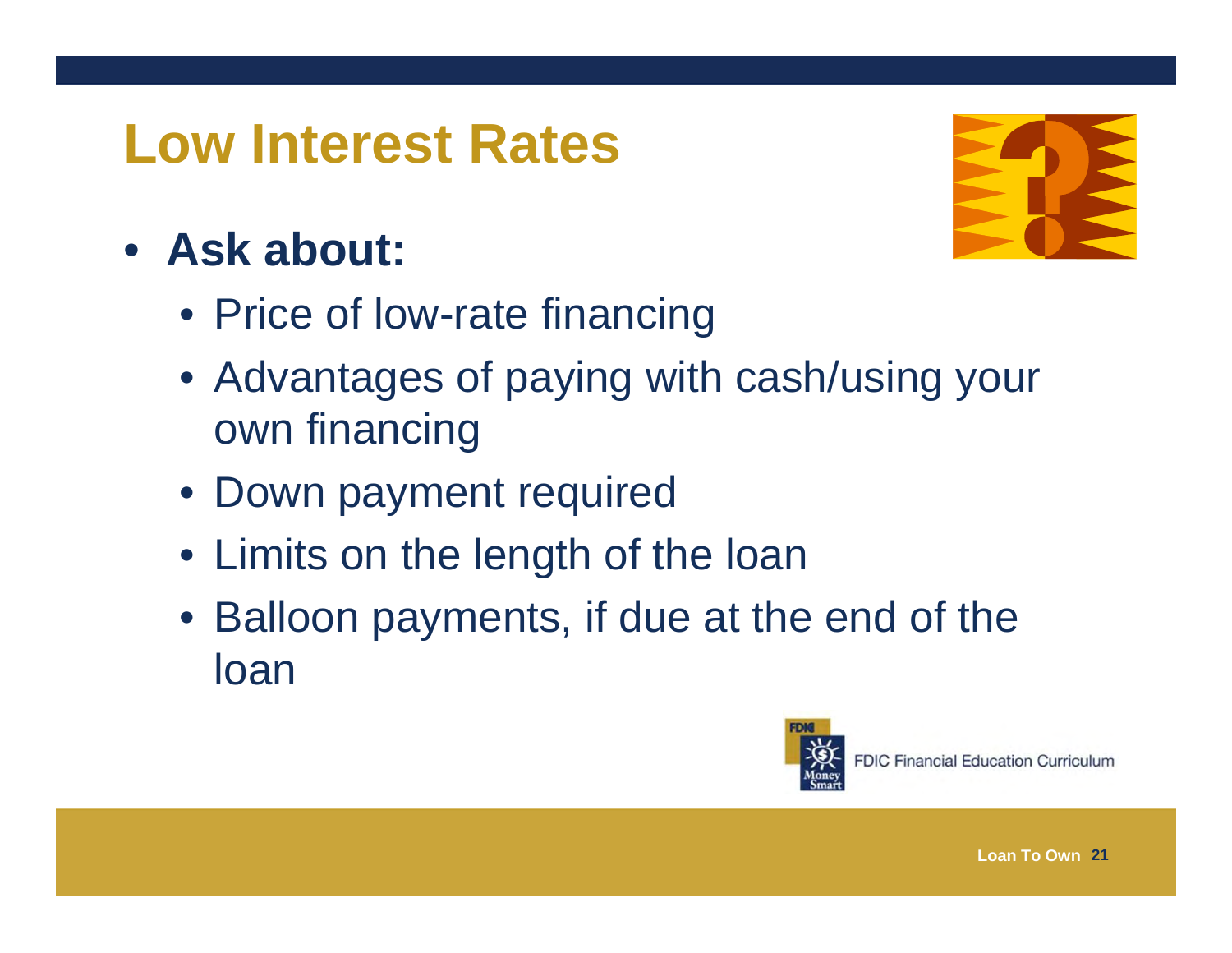#### **Low Interest Rates**

#### • **Ask about:**



- Price of low-rate financing
- Advantages of paying with cash/using your own financing
- Down payment required
- Limits on the length of the loan
- Balloon payments, if due at the end of the loan

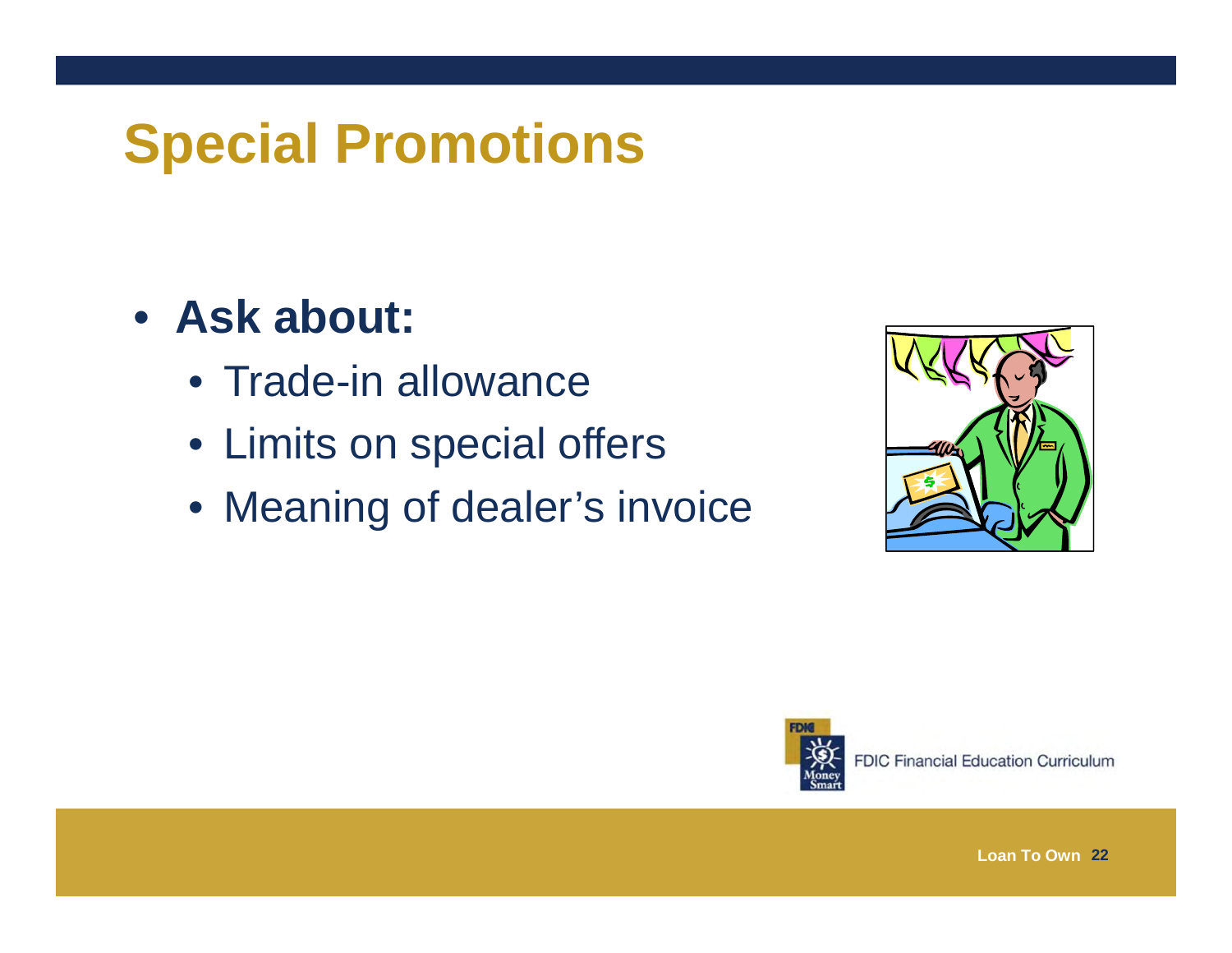# **Special Promotions**

#### • **Ask about:**

- Trade-in allowance
- Limits on special offers
- Meaning of dealer's invoice



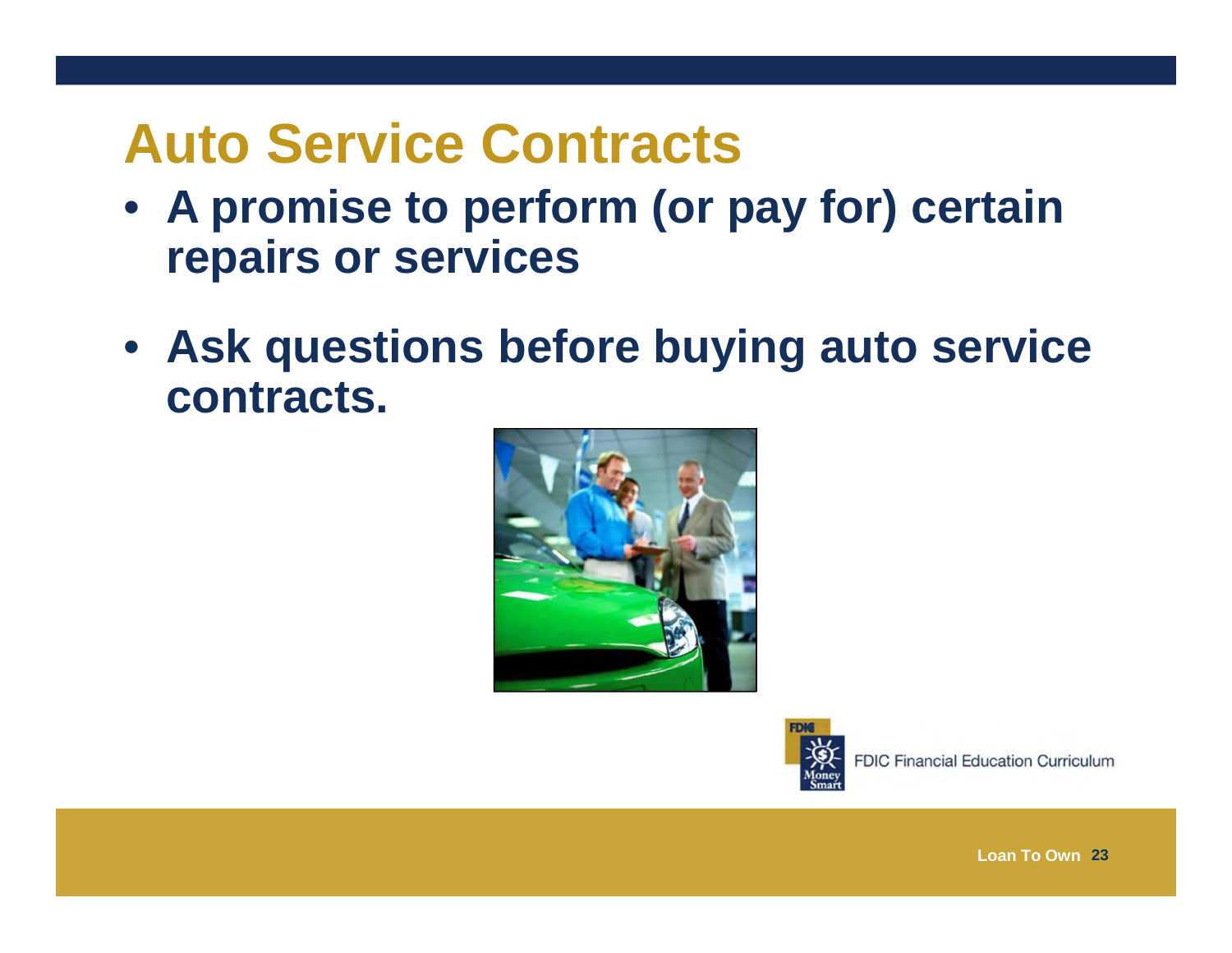#### **Auto Service Contracts**

- **A promise to perform (or pay for) certain repairs or services**
- **Ask questions before buying auto service contracts.**





**FDIC Financial Education Curriculum**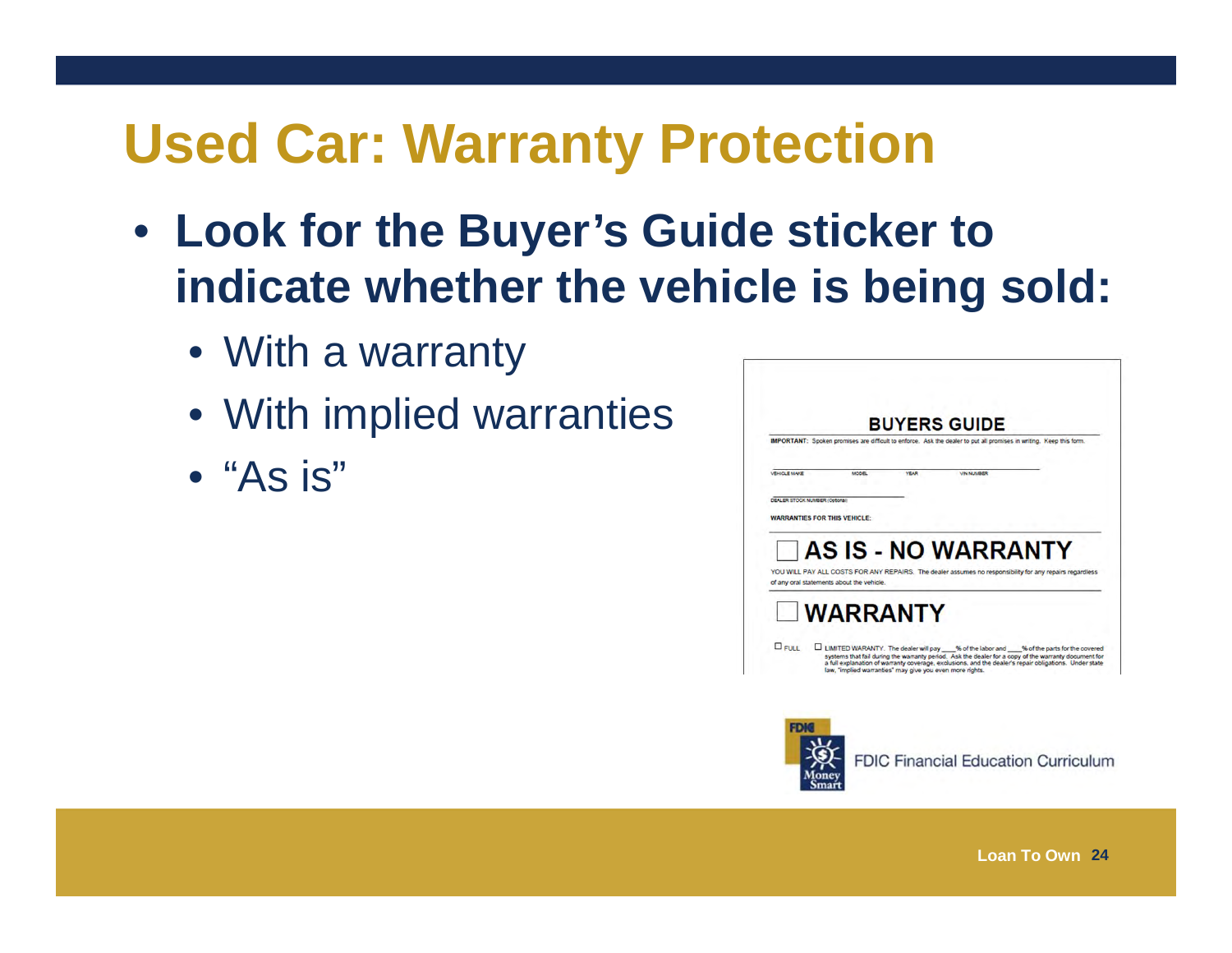#### **Used Car: Warranty Protection**

- **Look for the Buyer's Guide sticker to indicate whether the vehicle is being sold:**
	- With a warranty
	- With implied warranties
	- "As is"

|                                                                                                                     | <b>BUYERS GUIDE</b>                                                                                                                                                                                                                                                                                           |  |  |
|---------------------------------------------------------------------------------------------------------------------|---------------------------------------------------------------------------------------------------------------------------------------------------------------------------------------------------------------------------------------------------------------------------------------------------------------|--|--|
| IMPORTANT: Spoken promises are difficult to enforce. Ask the dealer to put all promises in writing. Keep this form. |                                                                                                                                                                                                                                                                                                               |  |  |
| <b>MODEL</b><br><b>YEAR</b>                                                                                         | <b><i>VIN NUMBER</i></b>                                                                                                                                                                                                                                                                                      |  |  |
|                                                                                                                     |                                                                                                                                                                                                                                                                                                               |  |  |
|                                                                                                                     |                                                                                                                                                                                                                                                                                                               |  |  |
| DEALER STOCK NUMBER (Octobal)                                                                                       |                                                                                                                                                                                                                                                                                                               |  |  |
| <b>WARRANTIES FOR THIS VEHICLE:</b>                                                                                 |                                                                                                                                                                                                                                                                                                               |  |  |
|                                                                                                                     |                                                                                                                                                                                                                                                                                                               |  |  |
|                                                                                                                     |                                                                                                                                                                                                                                                                                                               |  |  |
|                                                                                                                     | <b>AS IS - NO WARRANTY</b>                                                                                                                                                                                                                                                                                    |  |  |
|                                                                                                                     | YOU WILL PAY ALL COSTS FOR ANY REPAIRS. The dealer assumes no responsibility for any repairs regardless                                                                                                                                                                                                       |  |  |
| of any oral statements about the vehicle.                                                                           |                                                                                                                                                                                                                                                                                                               |  |  |
|                                                                                                                     |                                                                                                                                                                                                                                                                                                               |  |  |
|                                                                                                                     |                                                                                                                                                                                                                                                                                                               |  |  |
| <b>WARRANTY</b>                                                                                                     |                                                                                                                                                                                                                                                                                                               |  |  |
|                                                                                                                     |                                                                                                                                                                                                                                                                                                               |  |  |
|                                                                                                                     | LIMITED WARANTY. The dealer will pay ___% of the labor and ___% of the parts for the covered<br>systems that fail during the warranty period. Ask the dealer for a copy of the warranty document for<br>a full explanation of warranty coverage, exclusions, and the dealer's repair obligations. Under state |  |  |

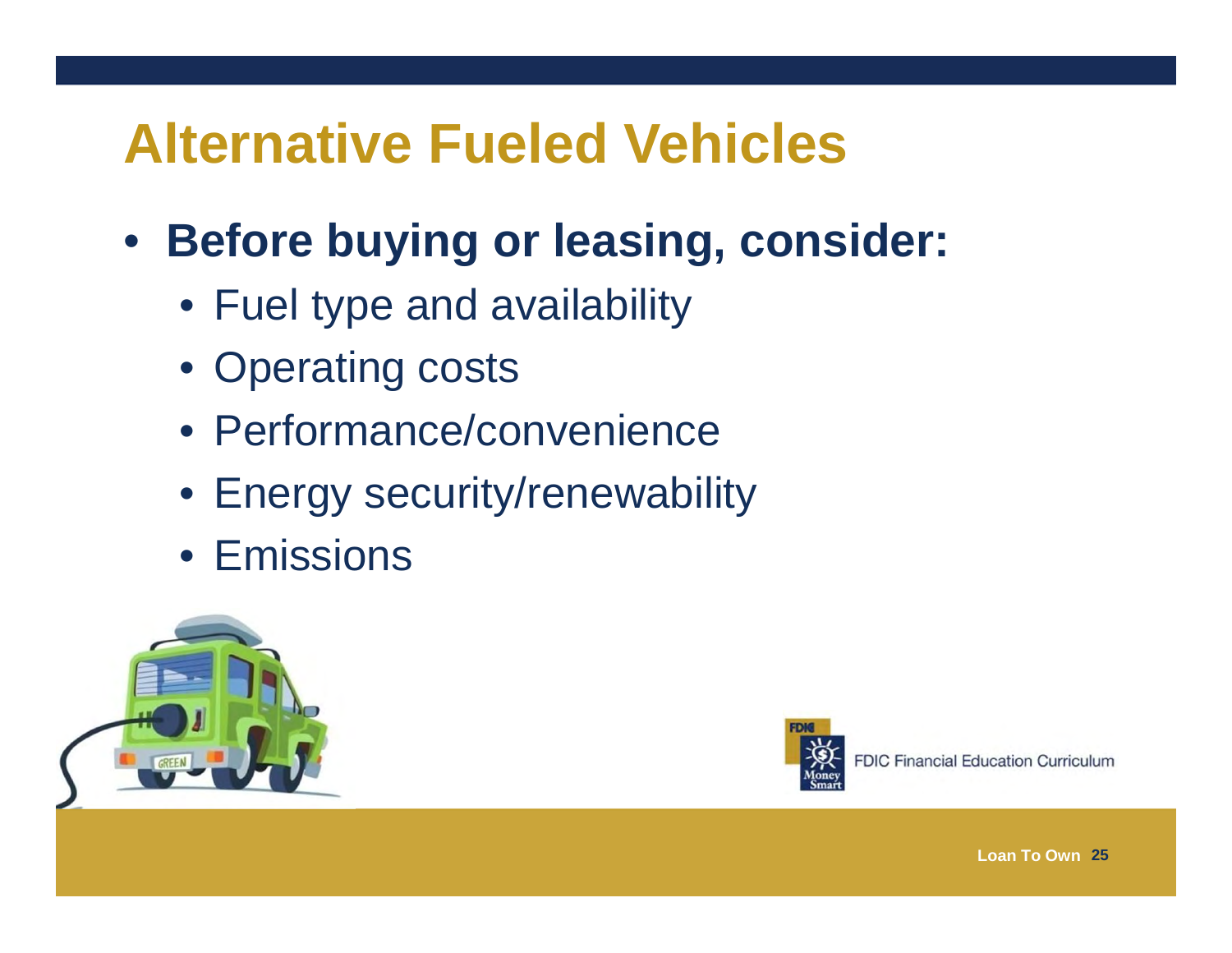#### **Alternative Fueled Vehicles**

#### $\bullet$ **Before buying or leasing, consider:**

- Fuel type and availability
- Operating costs
- Performance/convenience
- Energy security/renewability
- Emissions





**FDIC Financial Education Curriculum**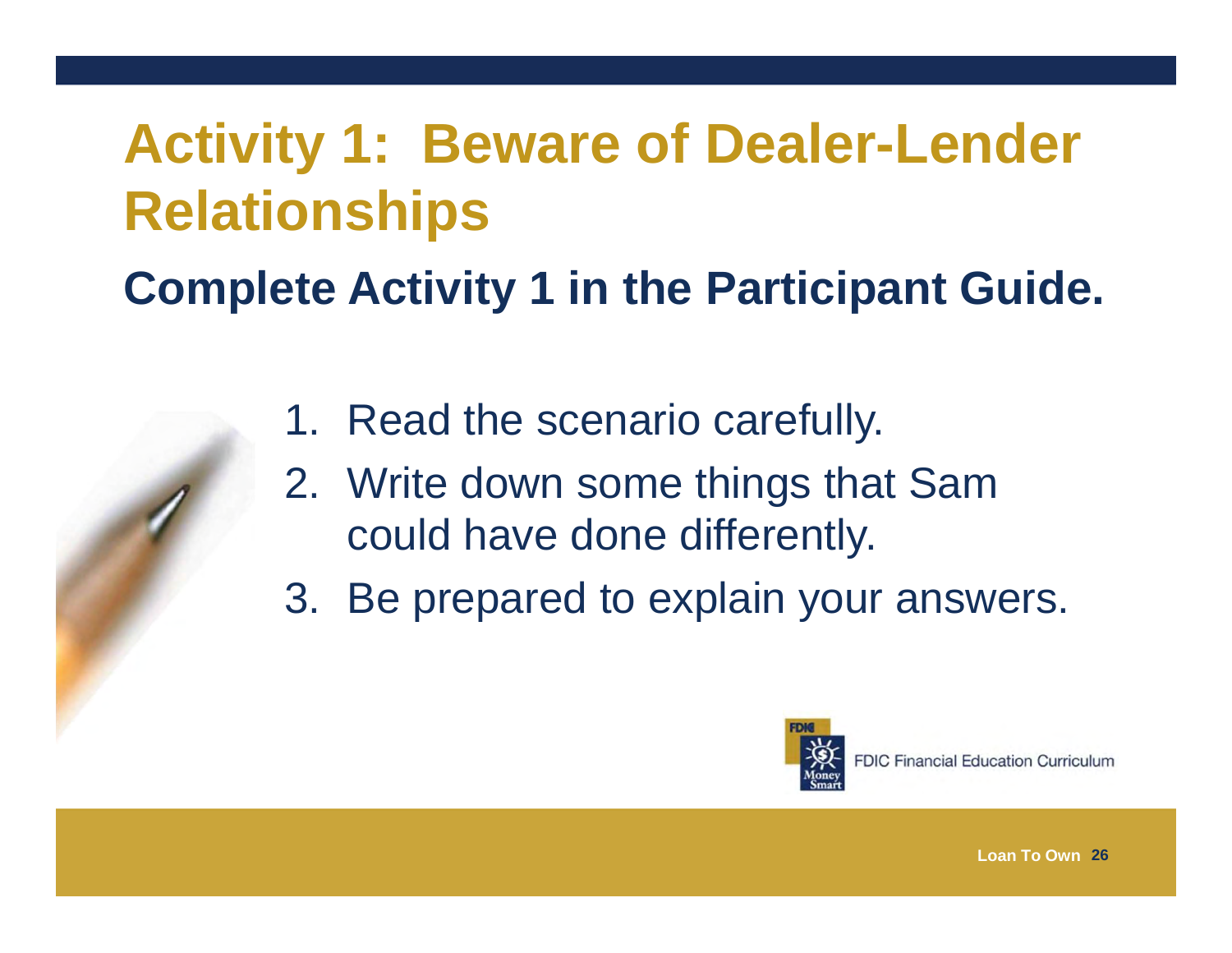# **Activity 1: Beware of Dealer-Lender Relationships**

**Complete Activity 1 in the Participant Guide.** 

- 1. Read the scenario carefully.
- 2. Write down some things that Sam could have done differently.
- 3. Be prepared to explain your answers.

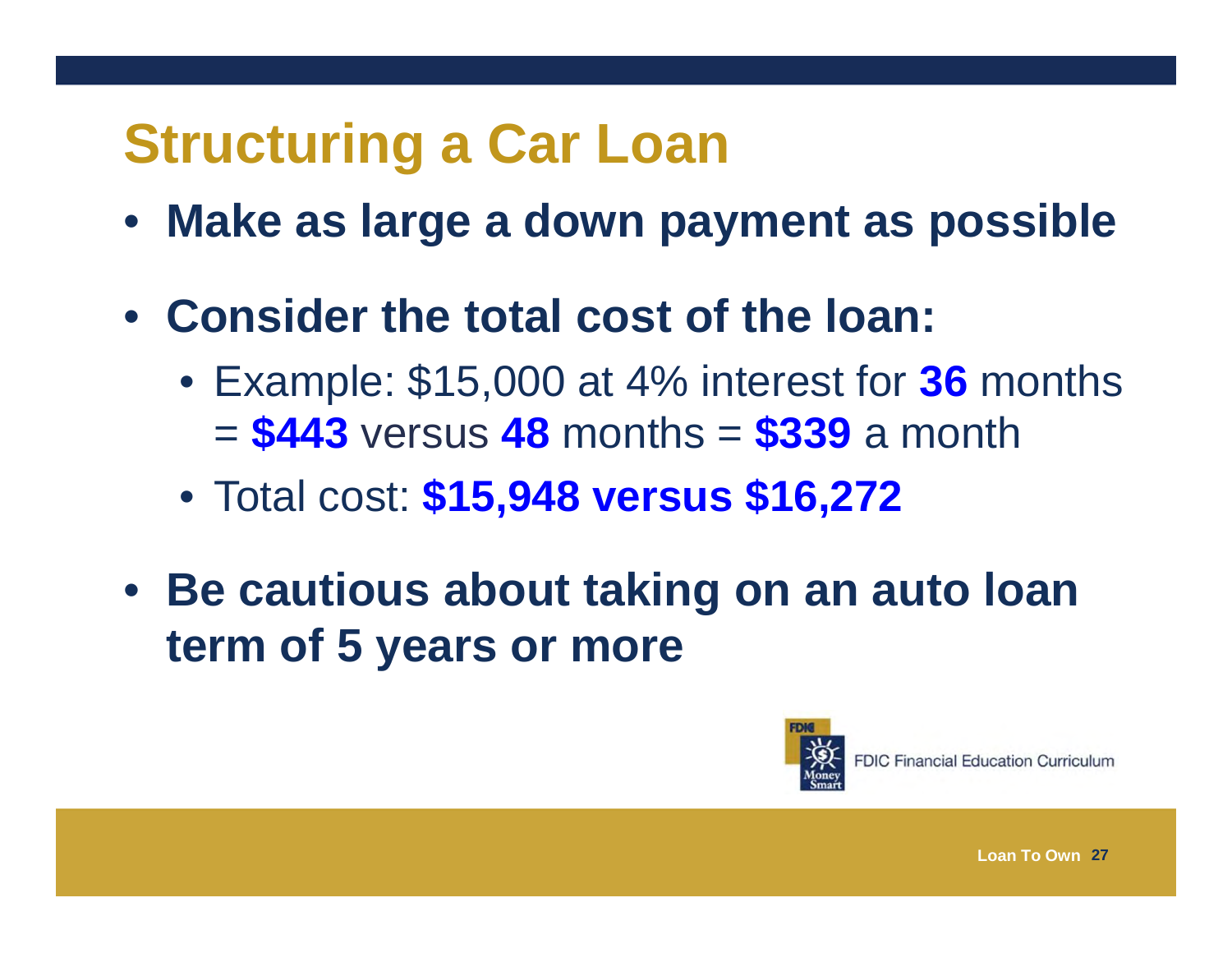# **Structuring a Car Loan**

- **Make as large a down payment as possible**
- **Consider the total cost of the loan:**
	- Example: \$15,000 at 4% interest for **36** months <sup>=</sup>**\$443** versus **48** months = **\$339** a month
	- Total cost: **\$15,948 versus \$16,272**
- **Be cautious about taking on an auto loan term of 5 years or more**

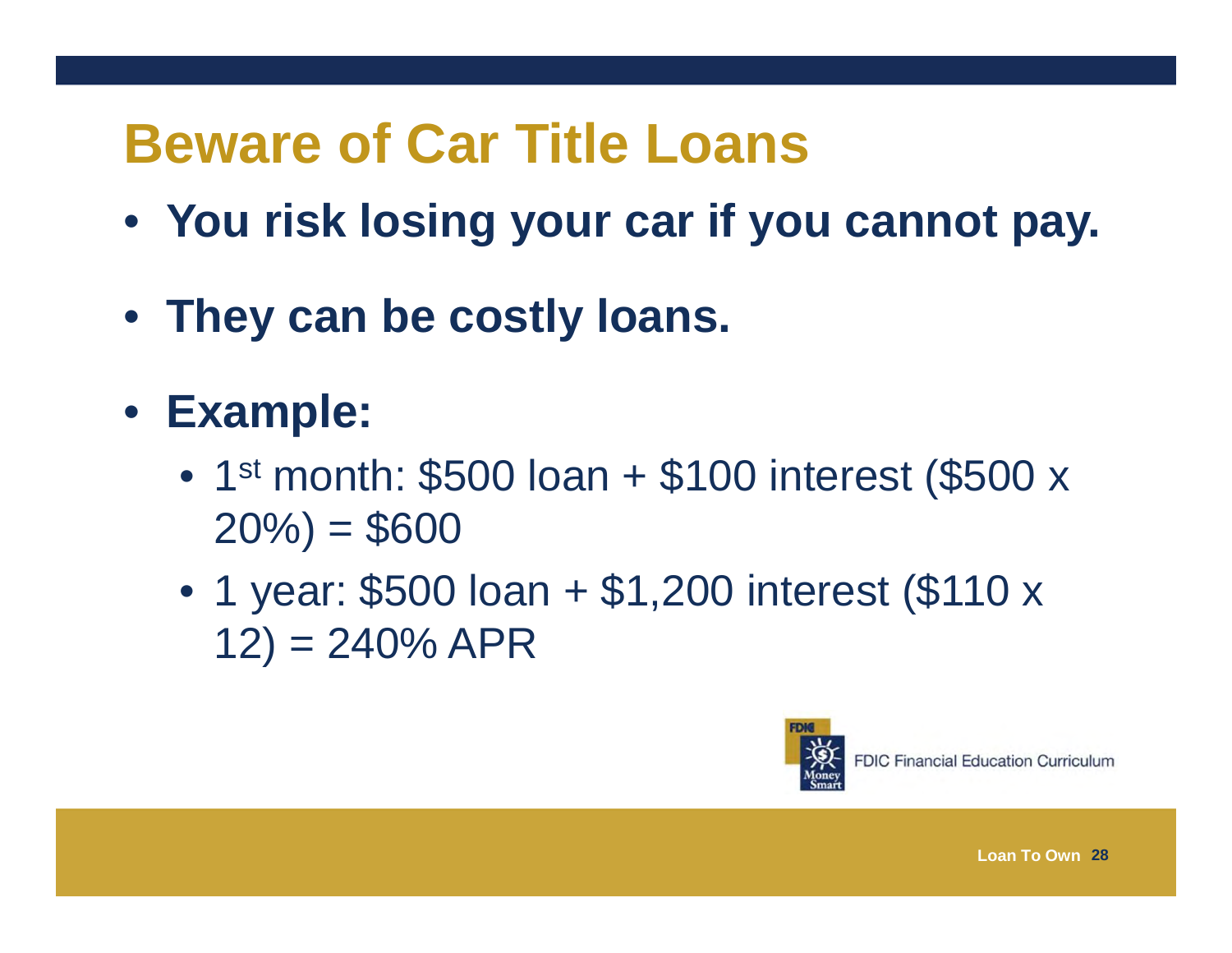# **Beware of Car Title Loans**

- **You risk losing your car if you cannot pay.**
- **They can be costly loans.**
- **Example:**
	- 1st month:  $$500$  loan +  $$100$  interest (\$500 x  $20\% = $600$
	- 1 year: \$500 loan + \$1,200 interest (\$110 x  $12) = 240\%$  APR

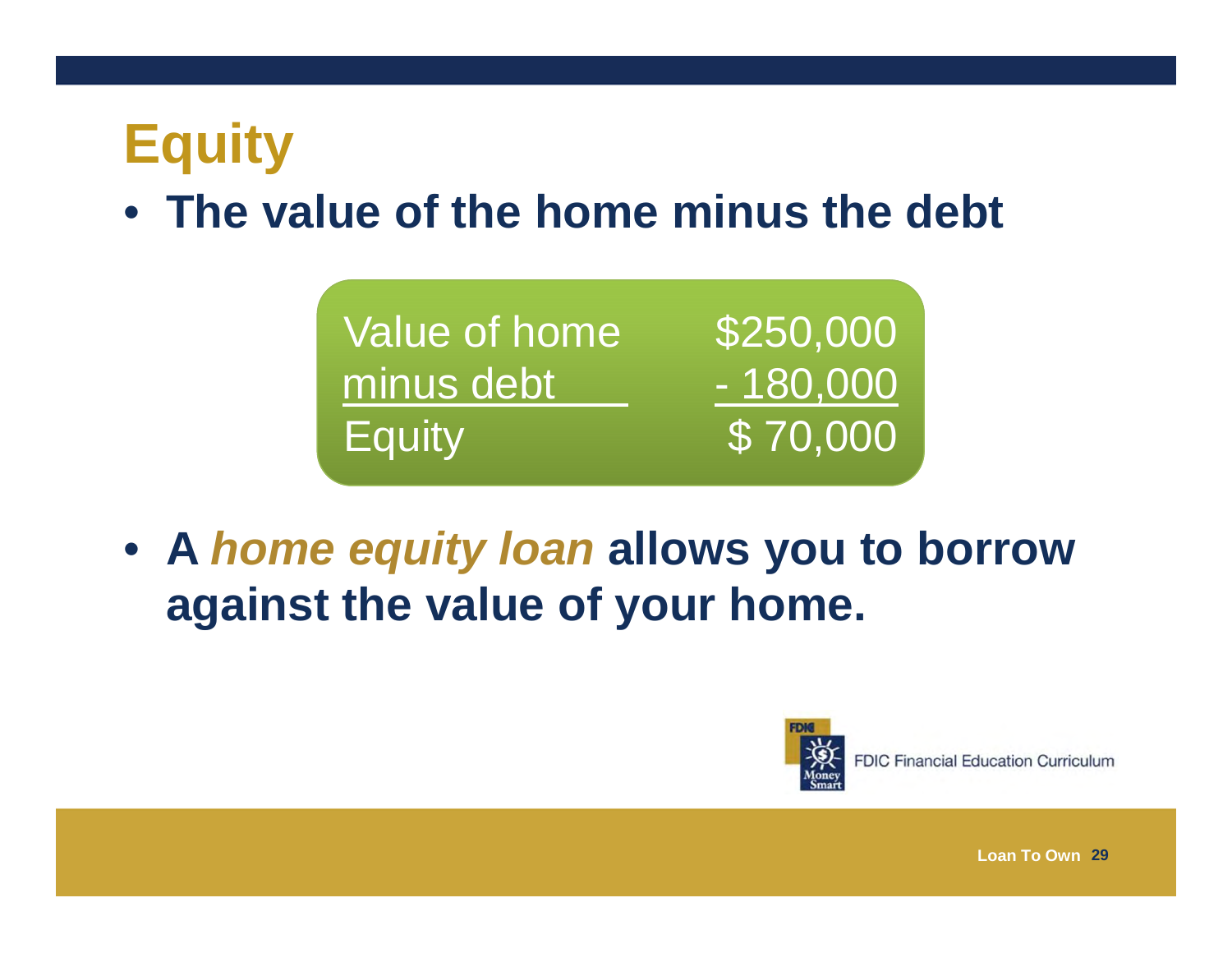# **Equity**

#### • **The value of the home minus the debt**

| Value of home | \$250,000         |
|---------------|-------------------|
| minus debt    | 180,000           |
| <b>Equity</b> | $\sqrt{5}$ 70,000 |

• **A** *home equity loan* **allows you to borrow against the value of your home.** 



**FDIC Financial Education Curriculum**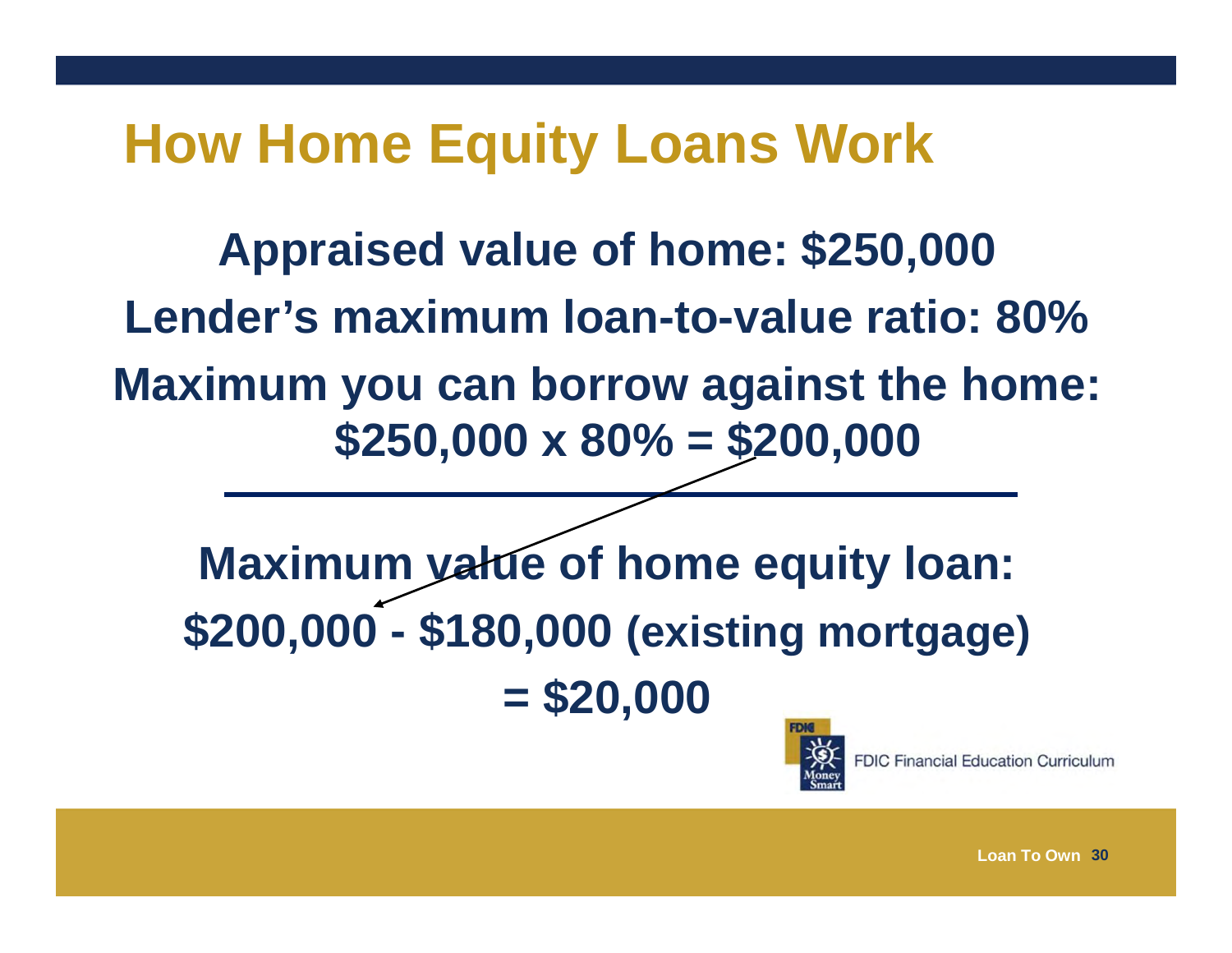#### **How Home Equity Loans Work**

**Appraised value of home: \$250,000 Lender's maximum loan-to-value ratio: 80%Maximum you can borrow against the home: \$250,000 x 80% = \$200,000 Maximum value of home equity loan:** 

**\$200,000 - \$180,000 (existing mortgage) = \$20,000**



**FDIC Financial Education Curriculum**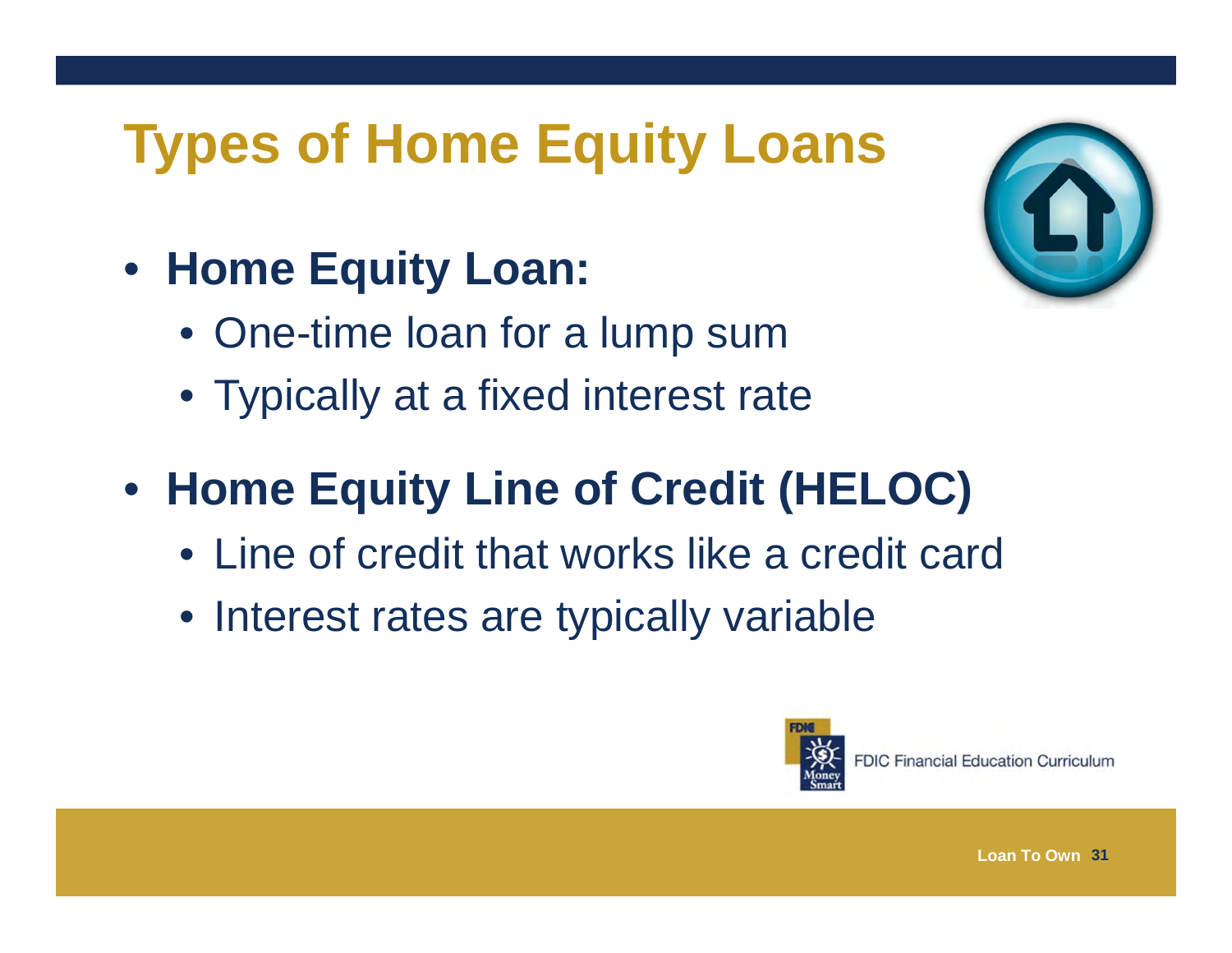# **Types of Home Equity Loans**

- **Home Equity Loan:**
	- One-time loan for a lump sum
	- Typically at a fixed interest rate
- **Home Equity Line of Credit (HELOC)**
	- Line of credit that works like a credit card
	- Interest rates are typically variable



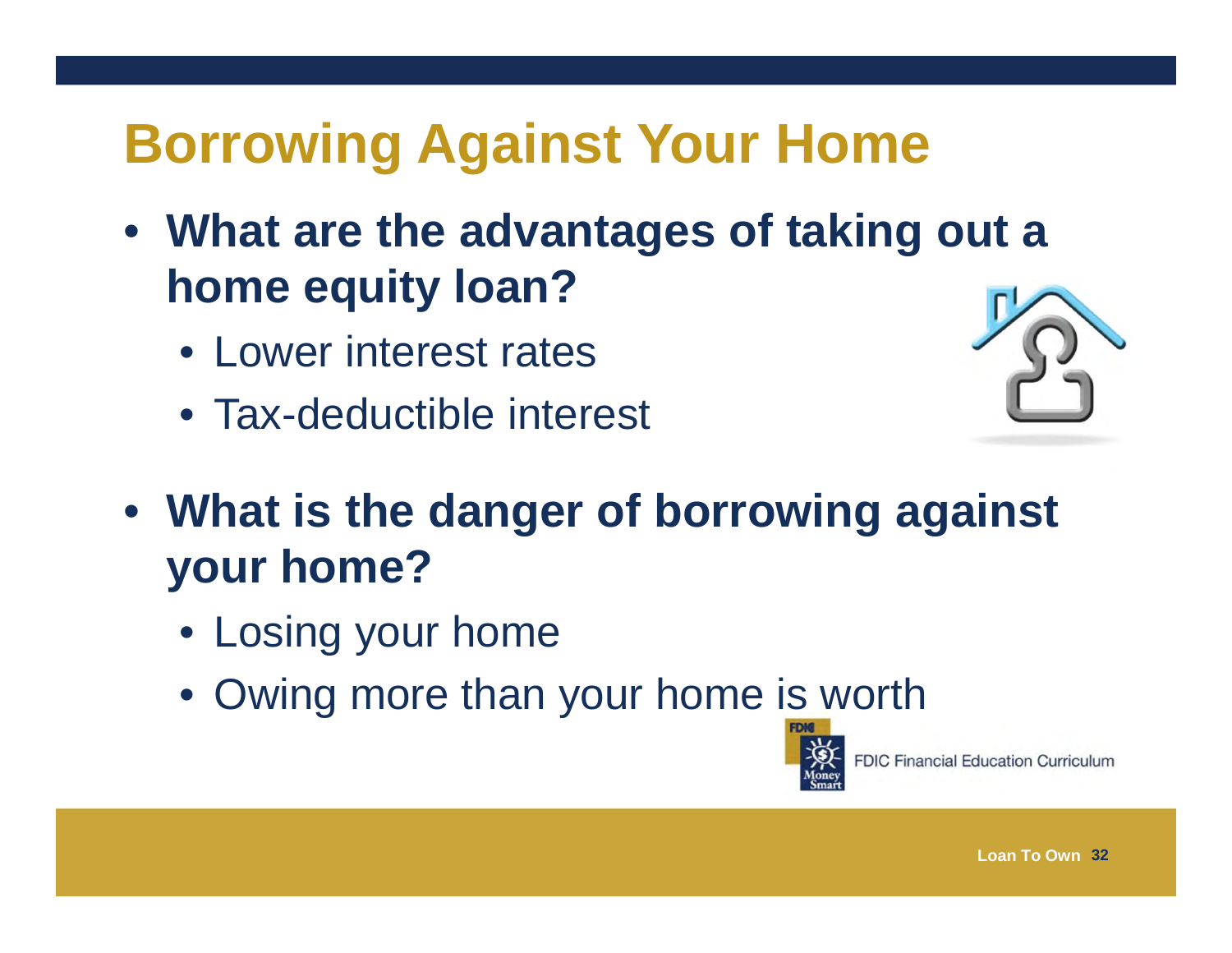# **Borrowing Against Your Home**

- **What are the advantages of taking out a home equity loan?**
	- Lower interest rates
	- Tax-deductible interest



- **What is the danger of borrowing against your home?**
	- Losing your home
	- Owing more than your home is worth

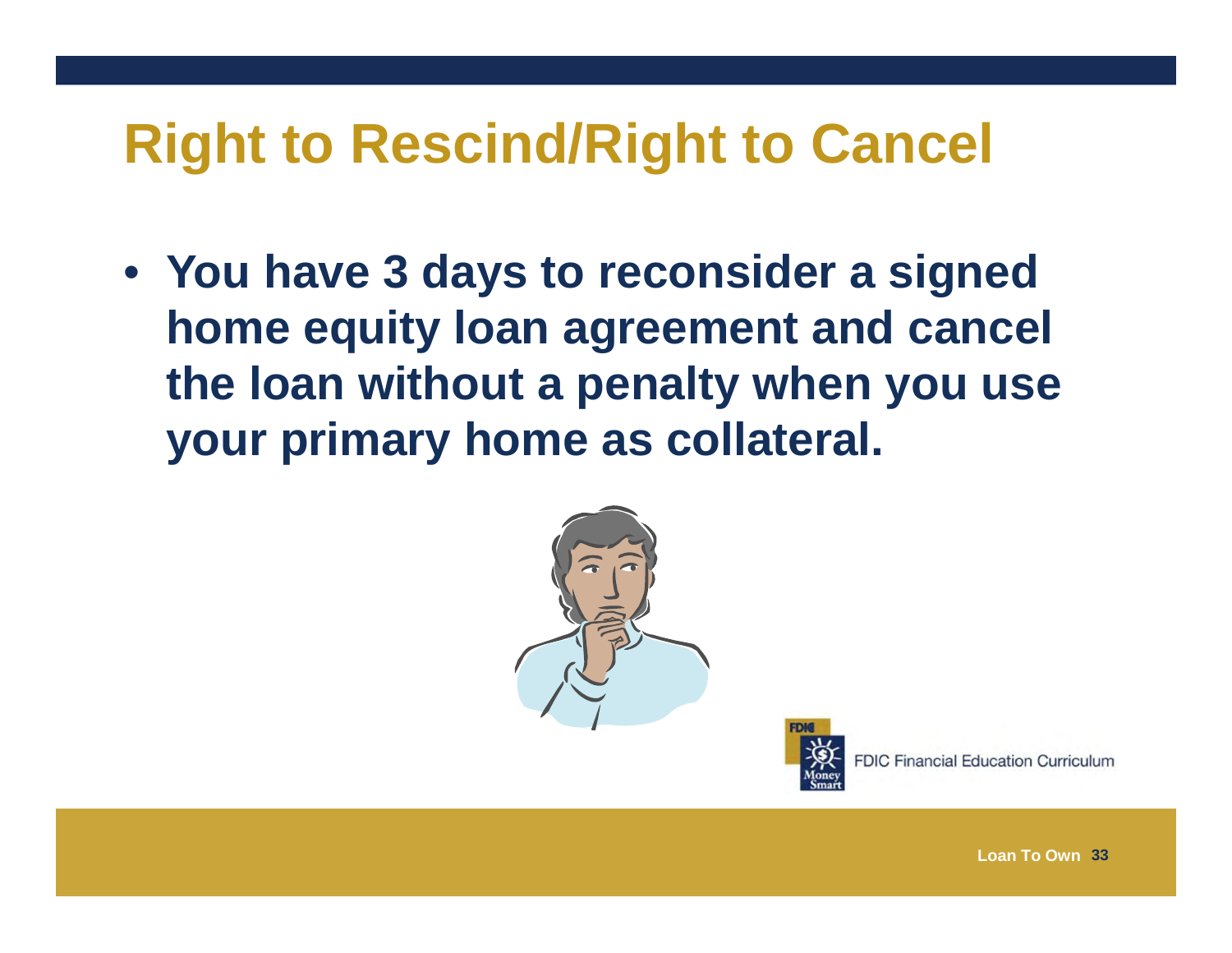#### **Right to Rescind/Right to Cancel**

• **You have 3 days to reconsider a signed home equity loan agreement and cancel the loan without a penalty when you use your primary home as collateral.**





**FDIC Financial Education Curriculum**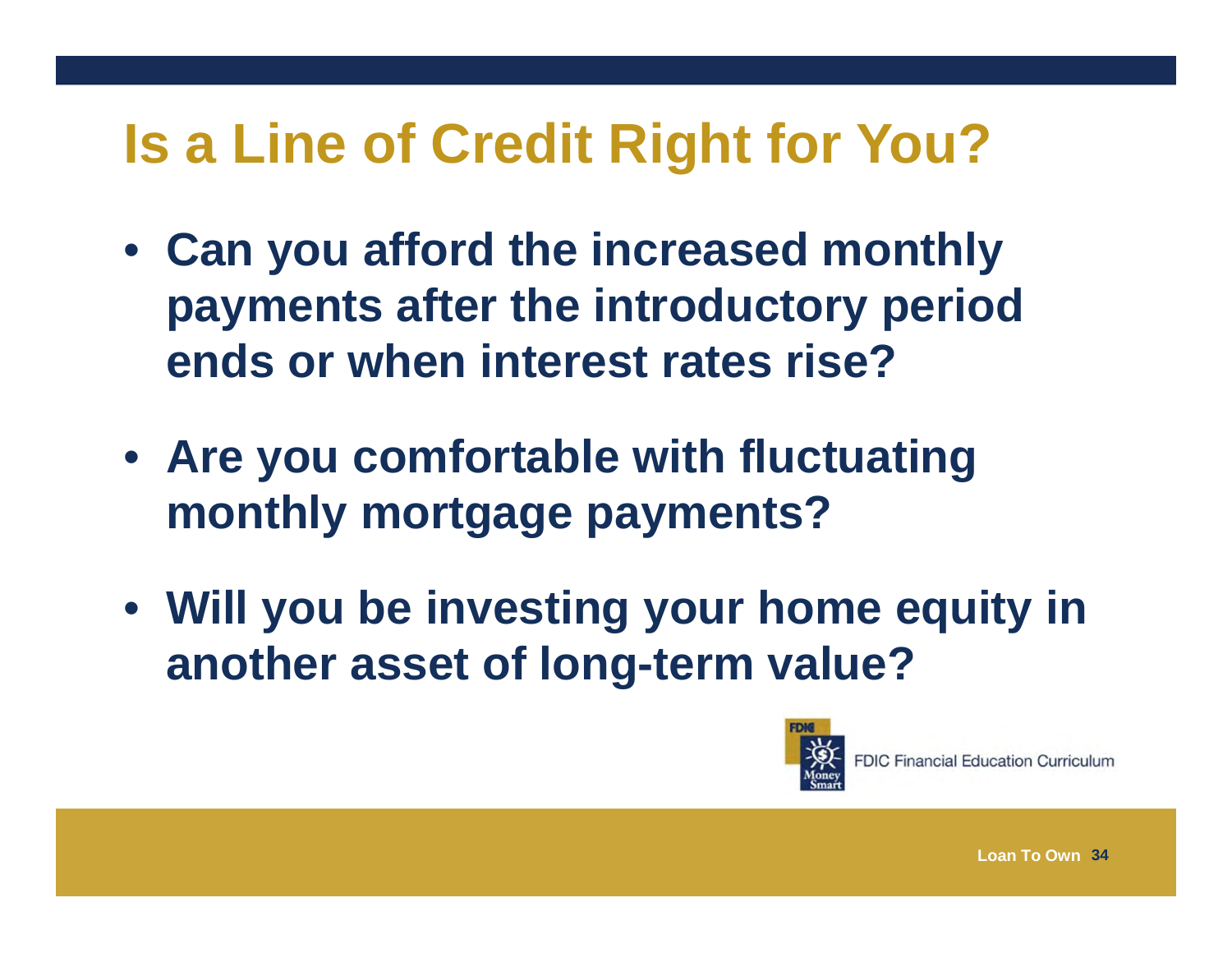# **Is a Line of Credit Right for You?**

- **Can you afford the increased monthly payments after the introductory period ends or when interest rates rise?**
- **Are you comfortable with fluctuating monthly mortgage payments?**
- **Will you be investing your home equity in another asset of long-term value?**



**FDIC Financial Education Curriculum**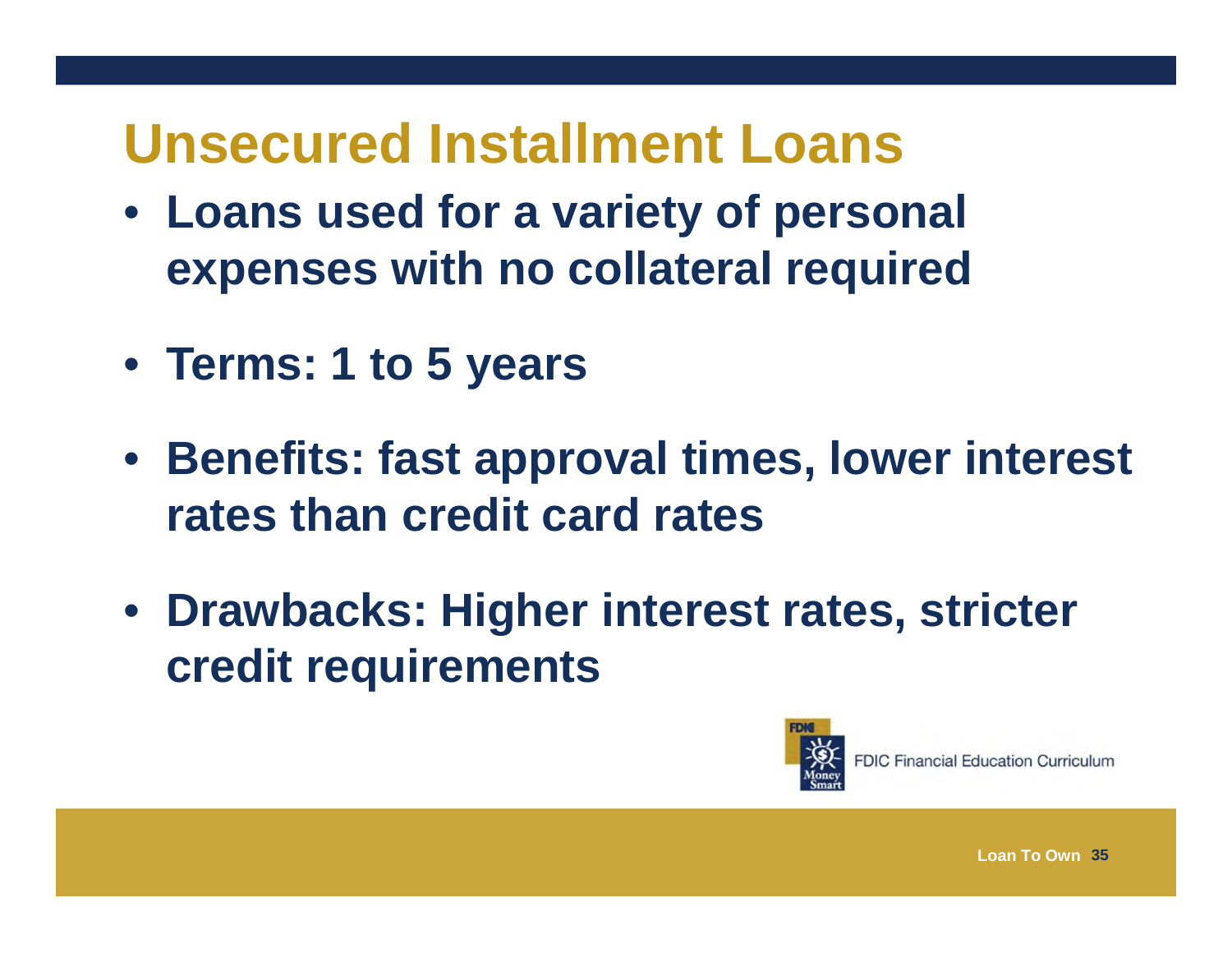#### **Unsecured Installment Loans**

- **Loans used for a variety of personal expenses with no collateral required**
- **Terms: 1 to 5 years**
- **Benefits: fast approval times, lower interest rates than credit card rates**
- **Drawbacks: Higher interest rates, stricter credit requirements**

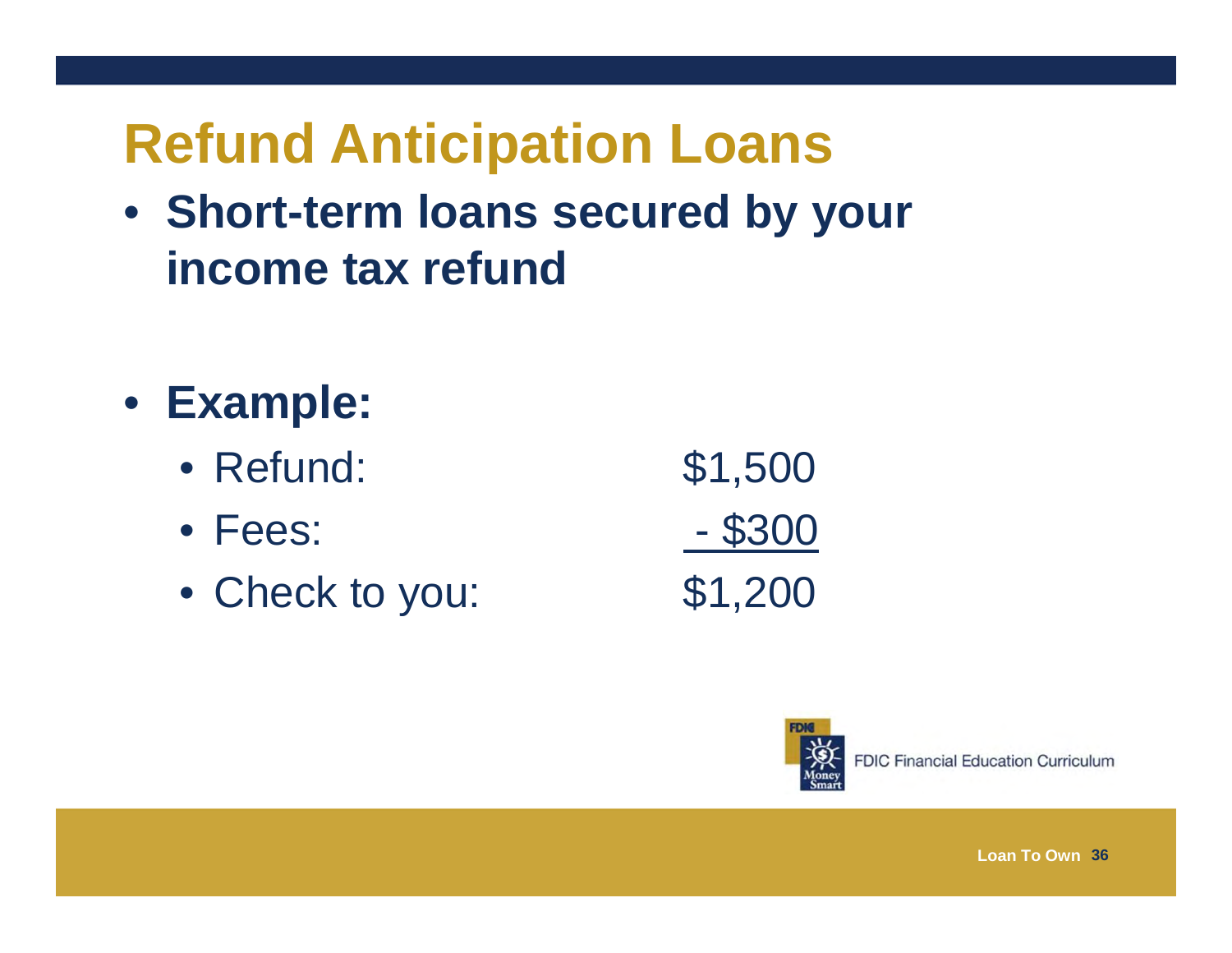# **Refund Anticipation Loans**

- **Short-term loans secured by your income tax refund**
- **Example:** 
	- Refund:
	- Fees:
	- Check to you: \$1,200

 Refund: \$1,500 Fees: - \$300



**FDIC Financial Education Curriculum**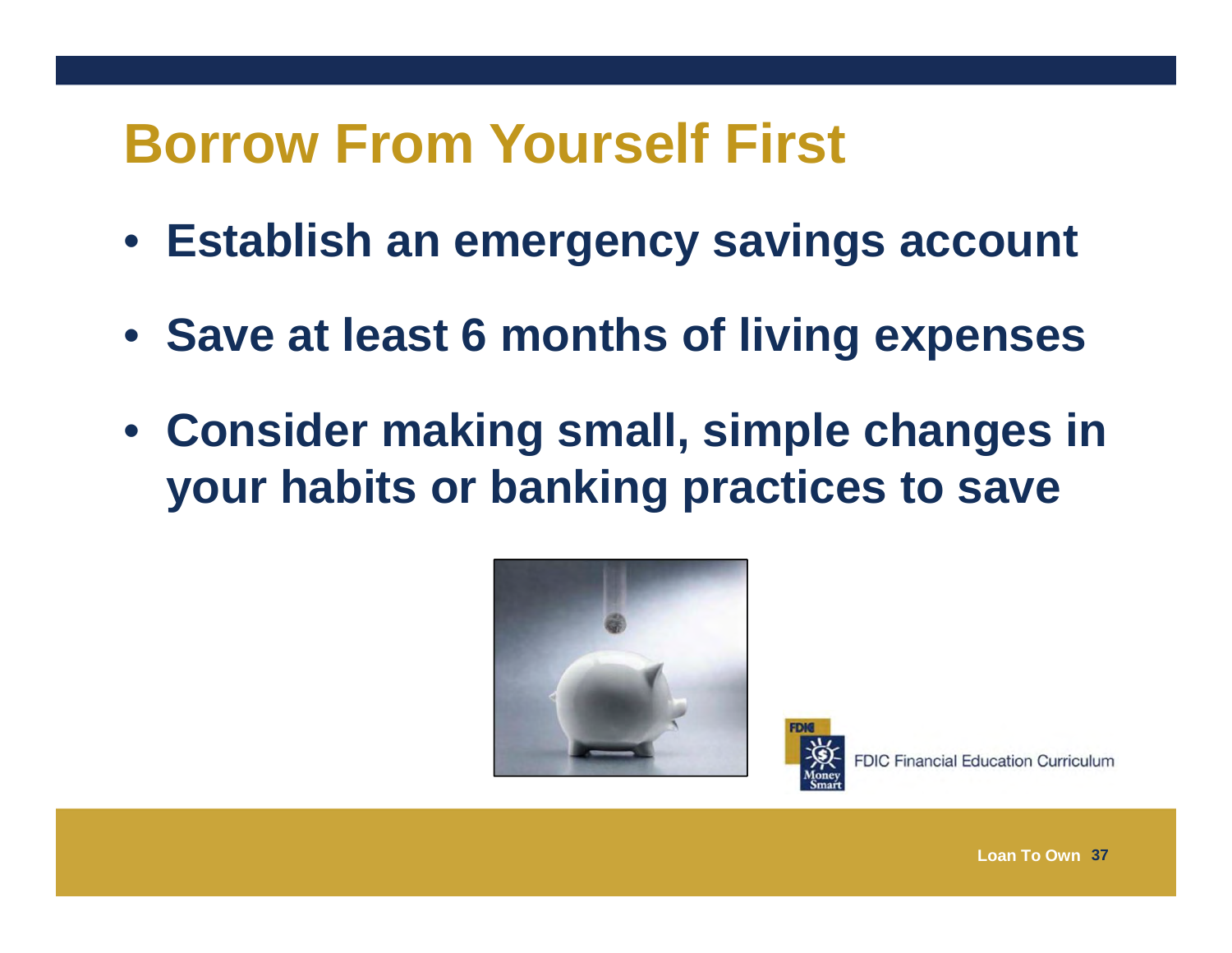#### **Borrow From Yourself First**

- **Establish an emergency savings account**
- **Save at least 6 months of living expenses**
- **Consider making small, simple changes in your habits or banking practices to save**



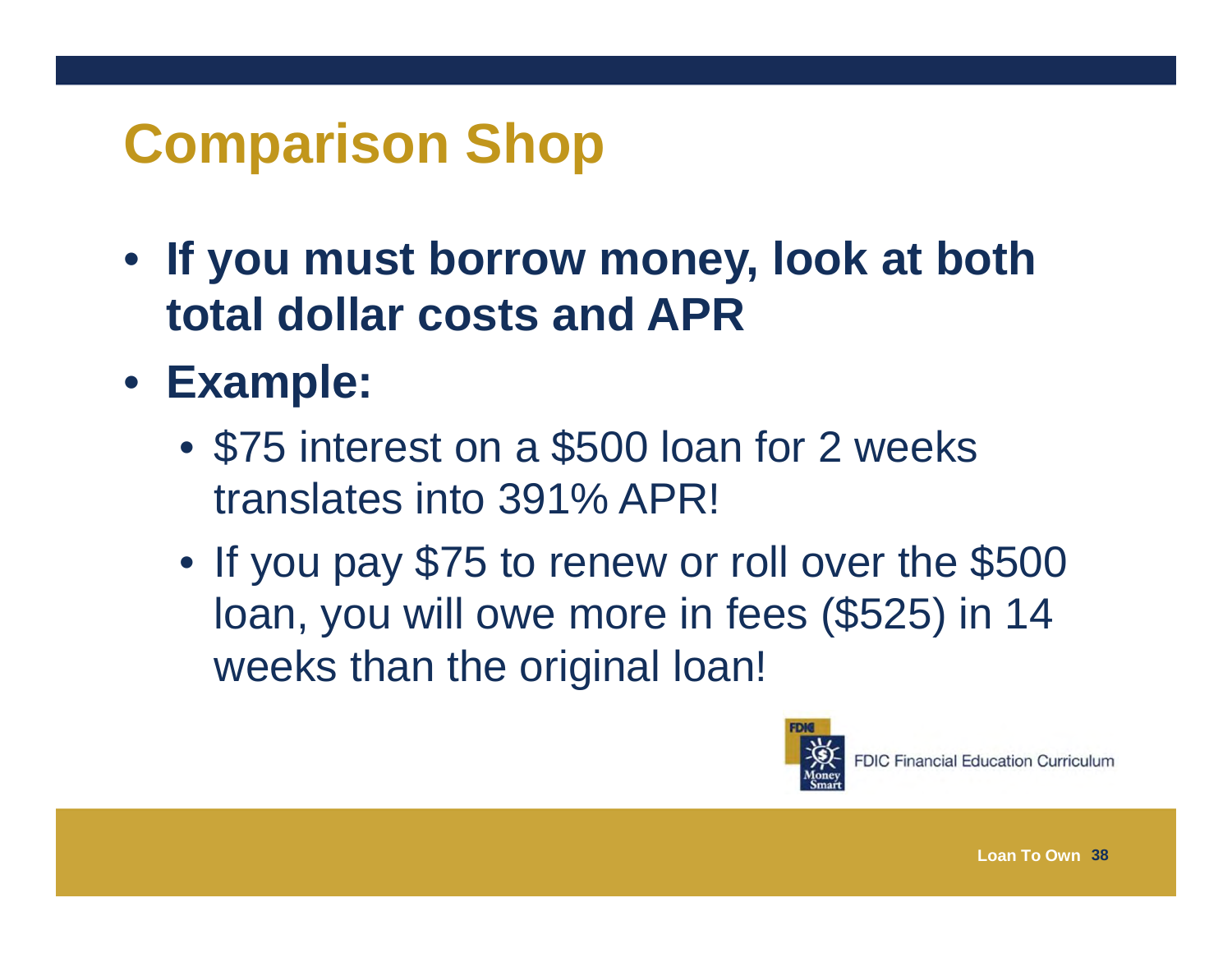# **Comparison Shop**

- **If you must borrow money, look at both total dollar costs and APR**
- **Example:** 
	- \$75 interest on a \$500 loan for 2 weeks translates into 391% APR!
	- If you pay \$75 to renew or roll over the \$500 loan, you will owe more in fees (\$525) in 14 weeks than the original loan!

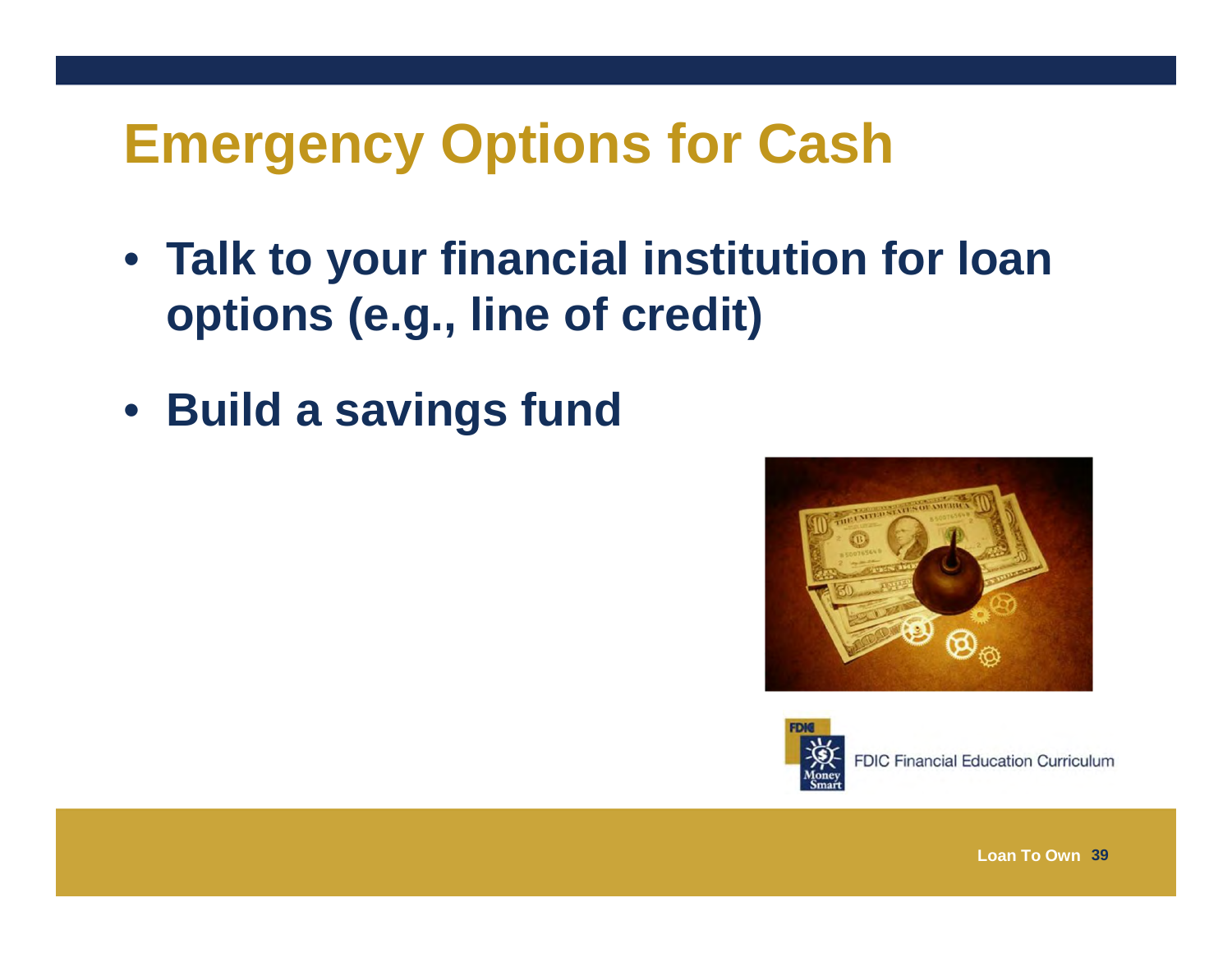#### **Emergency Options for Cash**

- **Talk to your financial institution for loan options (e.g., line of credit)**
- **Build a savings fund**





**FDIC Financial Education Curriculum**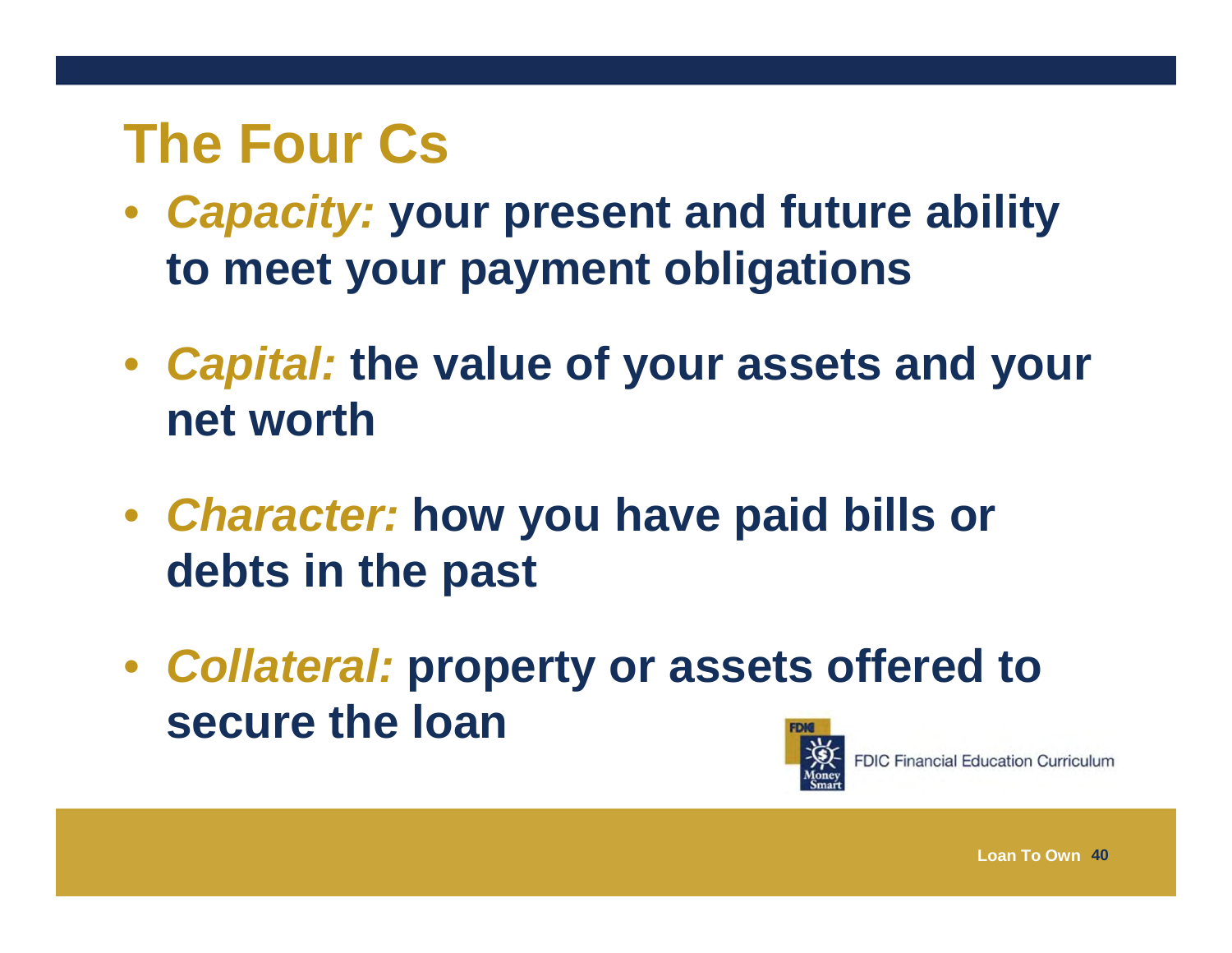#### **The Four Cs**

- *Capacity:* **your present and future ability to meet your payment obligations**
- *Capital:* **the value of your assets and your net worth**
- *Character:* **how you have paid bills or debts in the past**
- *Collateral:* **property or assets offered to secure the loan**



**FDIC Financial Education Curriculum**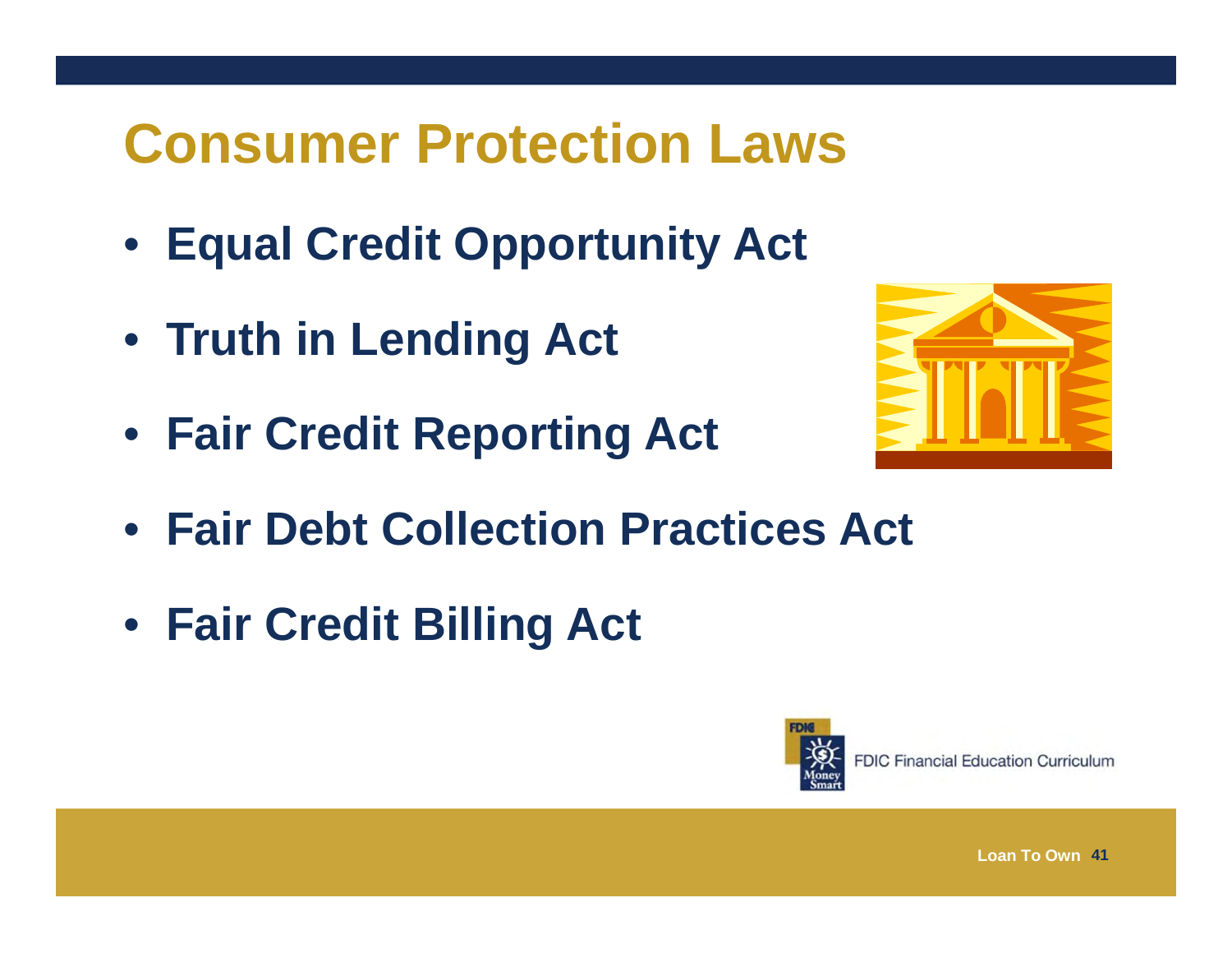# **Consumer Protection Laws**

- **Equal Credit Opportunity Act**
- **Truth in Lending Act**
- **Fair Credit Reporting Act**



- **Fair Debt Collection Practices Act**
- **Fair Credit Billing Act**

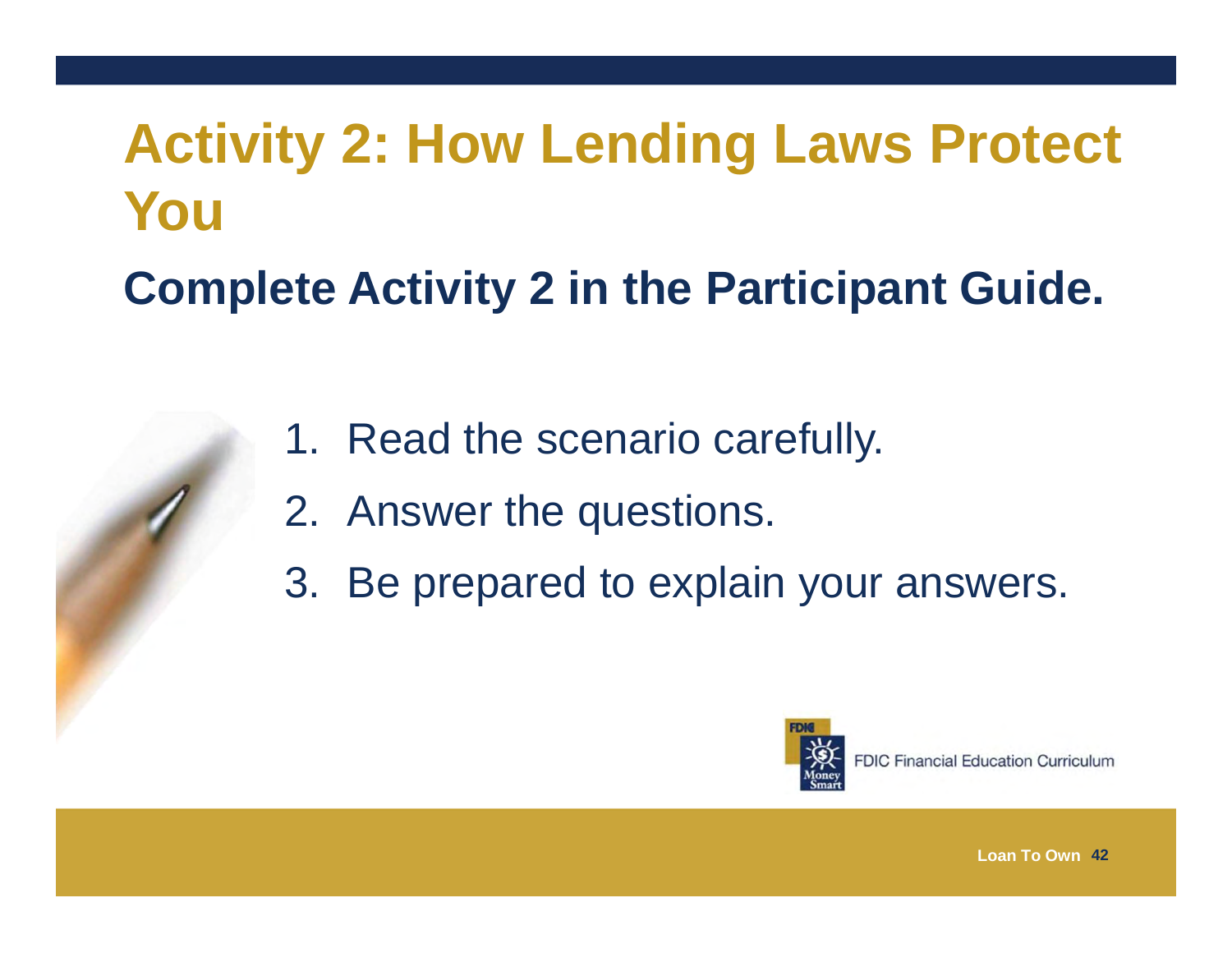#### **Activity 2: How Lending Laws Protect You**

#### **Complete Activity 2 in the Participant Guide.**

- 1. Read the scenario carefully.
- 2. Answer the questions.
- 3. Be prepared to explain your answers.

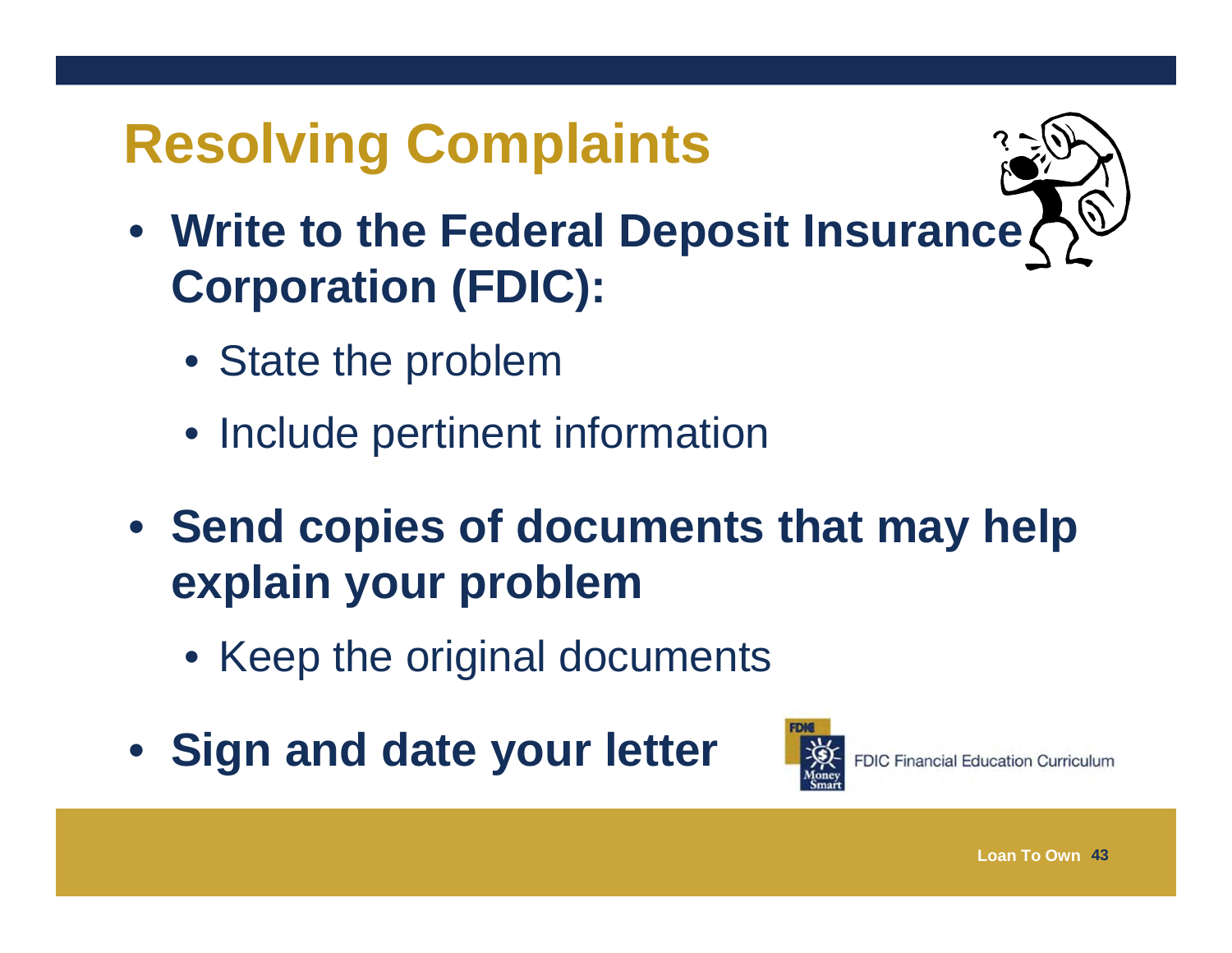# **Resolving Complaints**

- 
- **Write to the Federal Deposit Insurance Corporation (FDIC):**
	- State the problem
	- Include pertinent information
- **Send copies of documents that may help explain your problem** 
	- Keep the original documents
- **Sign and date your letter**

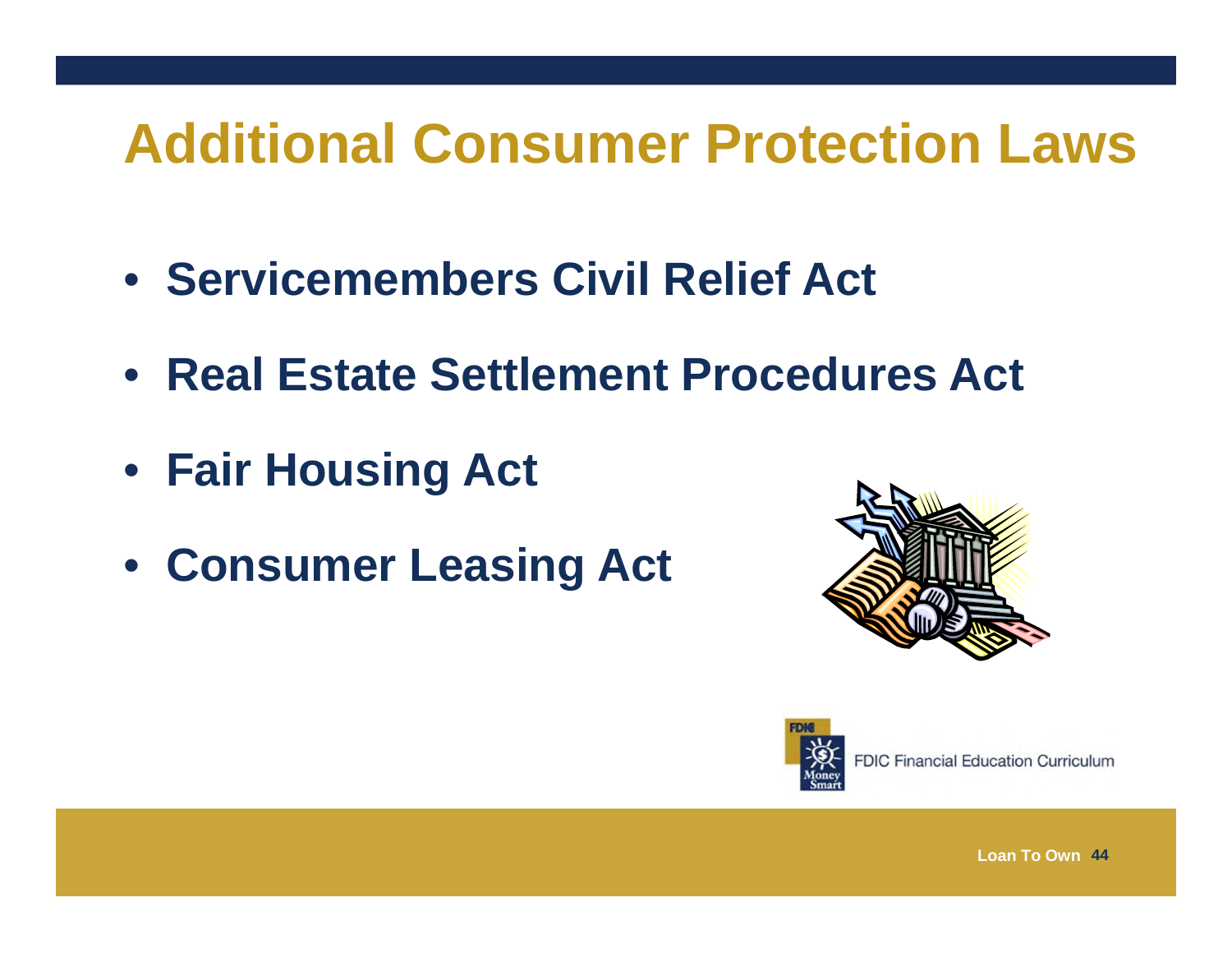# **Additional Consumer Protection Laws**

- **Servicemembers Civil Relief Act**
- **Real Estate Settlement Procedures Act**
- **Fair Housing Act**
- **Consumer Leasing Act**





**FDIC Financial Education Curriculum**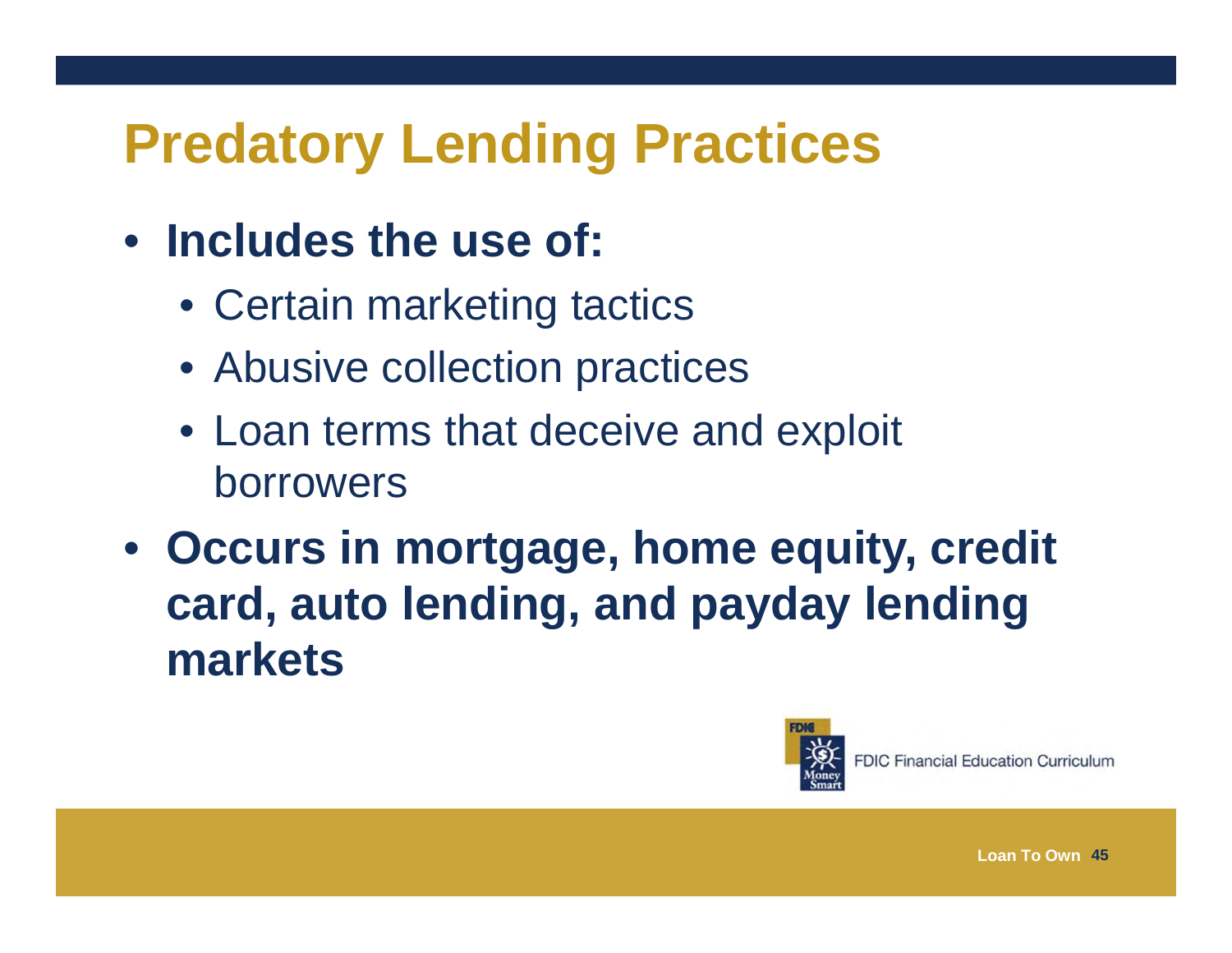# **Predatory Lending Practices**

#### • **Includes the use of:**

- Certain marketing tactics
- Abusive collection practices
- Loan terms that deceive and exploit borrowers
- **Occurs in mortgage, home equity, credit card, auto lending, and payday lending markets**

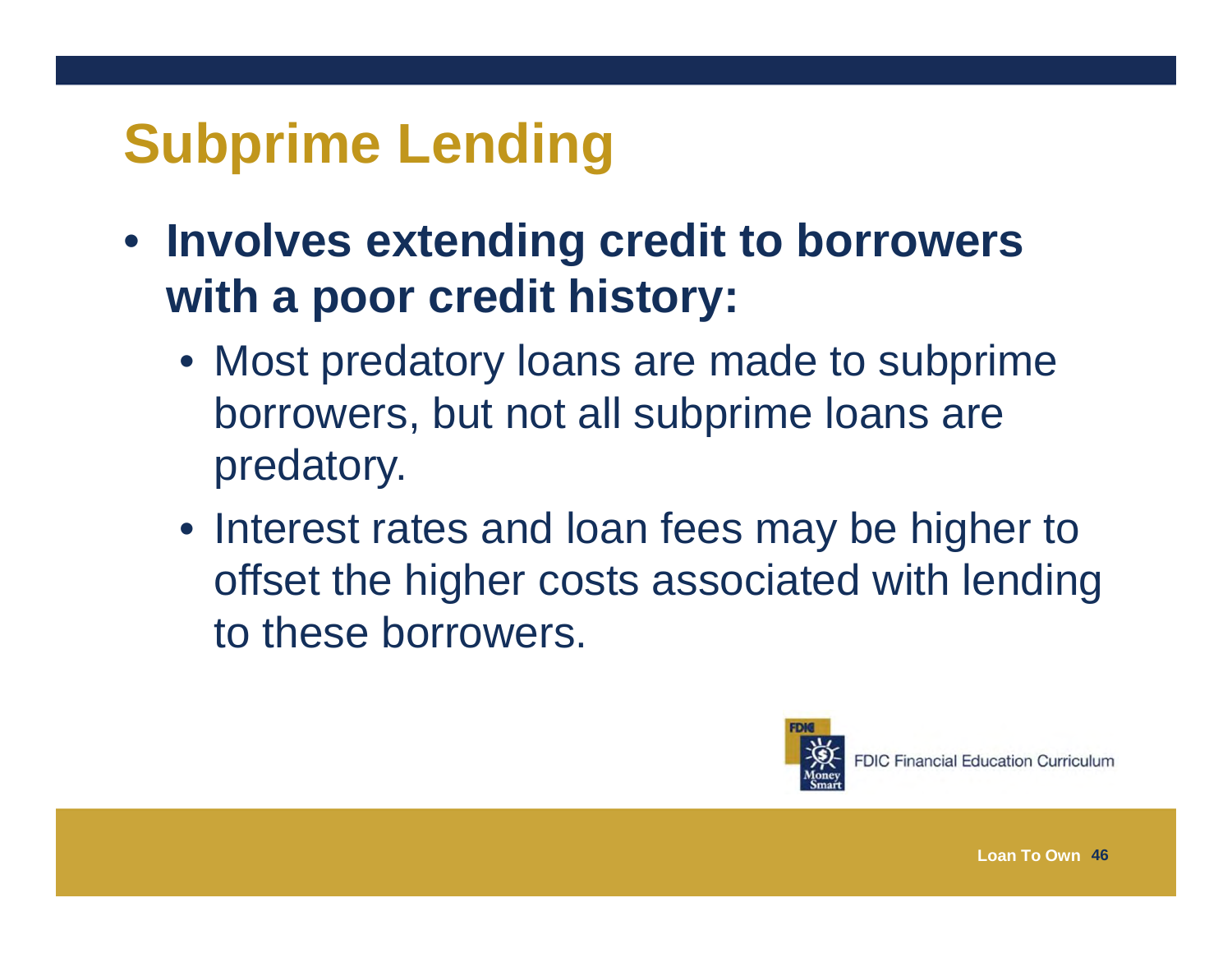# **Subprime Lending**

- **Involves extending credit to borrowers with a poor credit history:**
	- Most predatory loans are made to subprime borrowers, but not all subprime loans are predatory.
	- Interest rates and loan fees may be higher to offset the higher costs associated with lending to these borrowers.



**FDIC Financial Education Curriculum**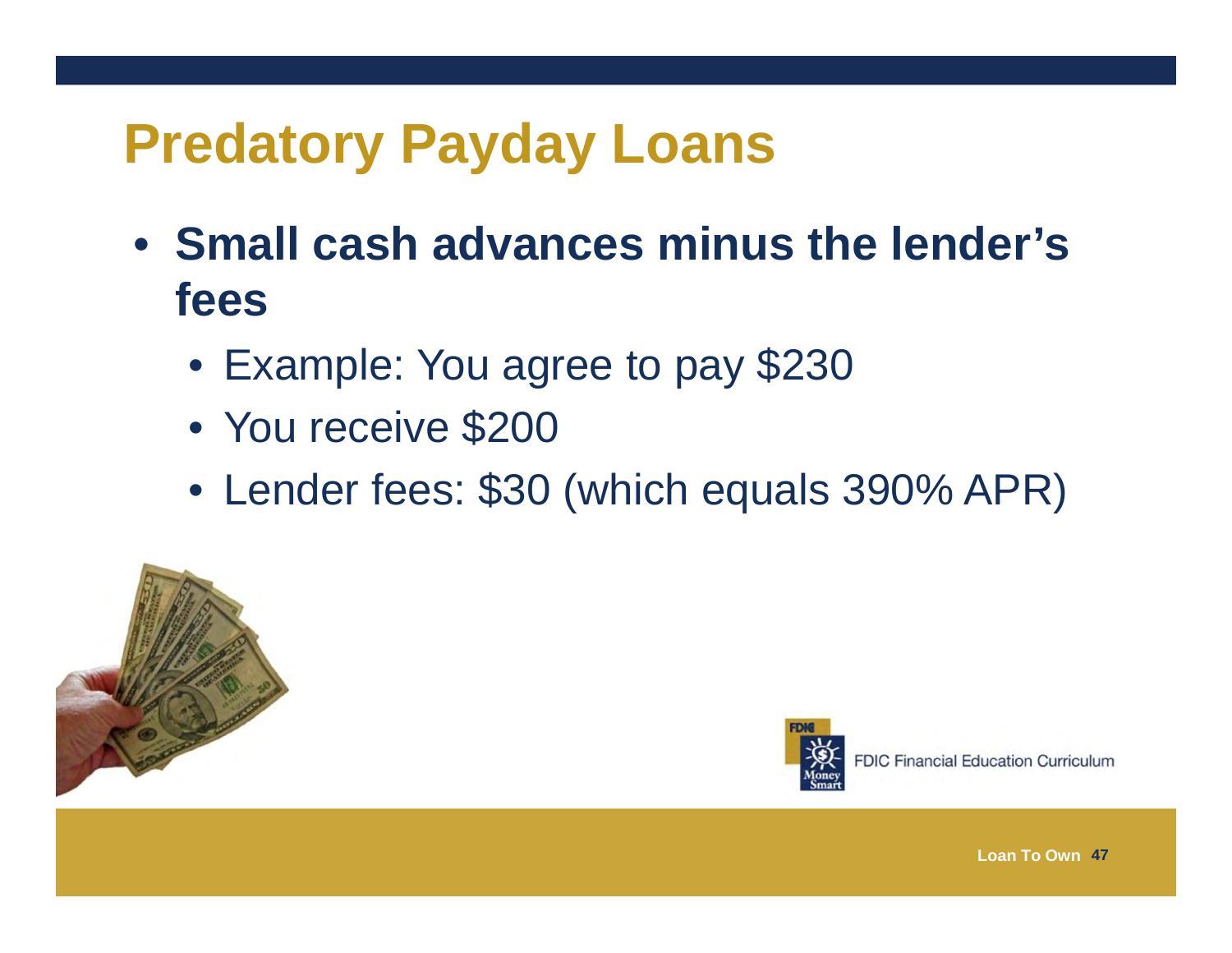# **Predatory Payday Loans**

- **Small cash advances minus the lender's fees**
	- Example: You agree to pay \$230
	- You receive \$200
	- Lender fees: \$30 (which equals 390% APR)





**FDIC Financial Education Curriculum**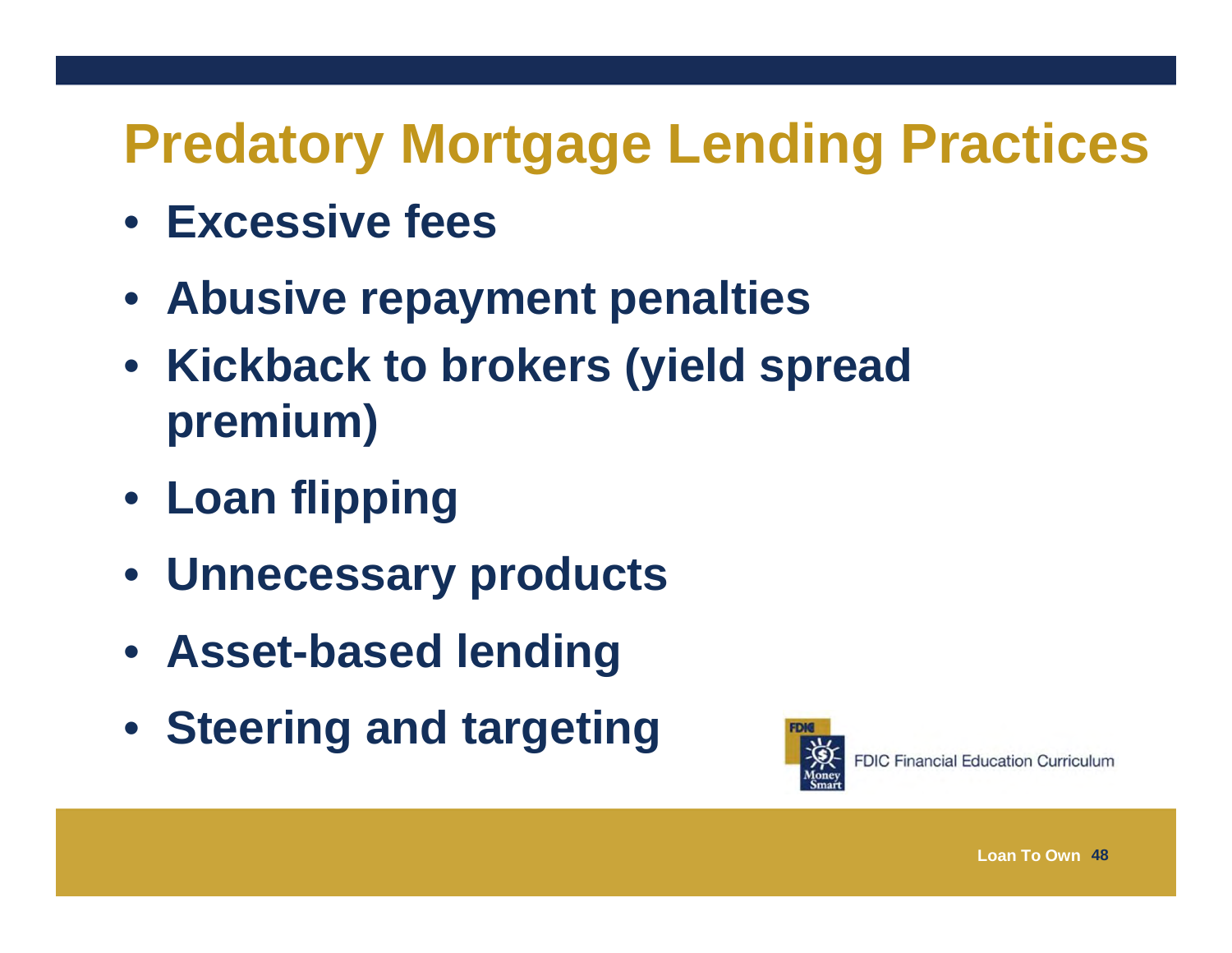# **Predatory Mortgage Lending Practices**

- **Excessive fees**
- **Abusive repayment penalties**
- **Kickback to brokers (yield spread premium)**
- **Loan flipping**
- **Unnecessary products**
- **Asset-based lending**
- **Steering and targeting**

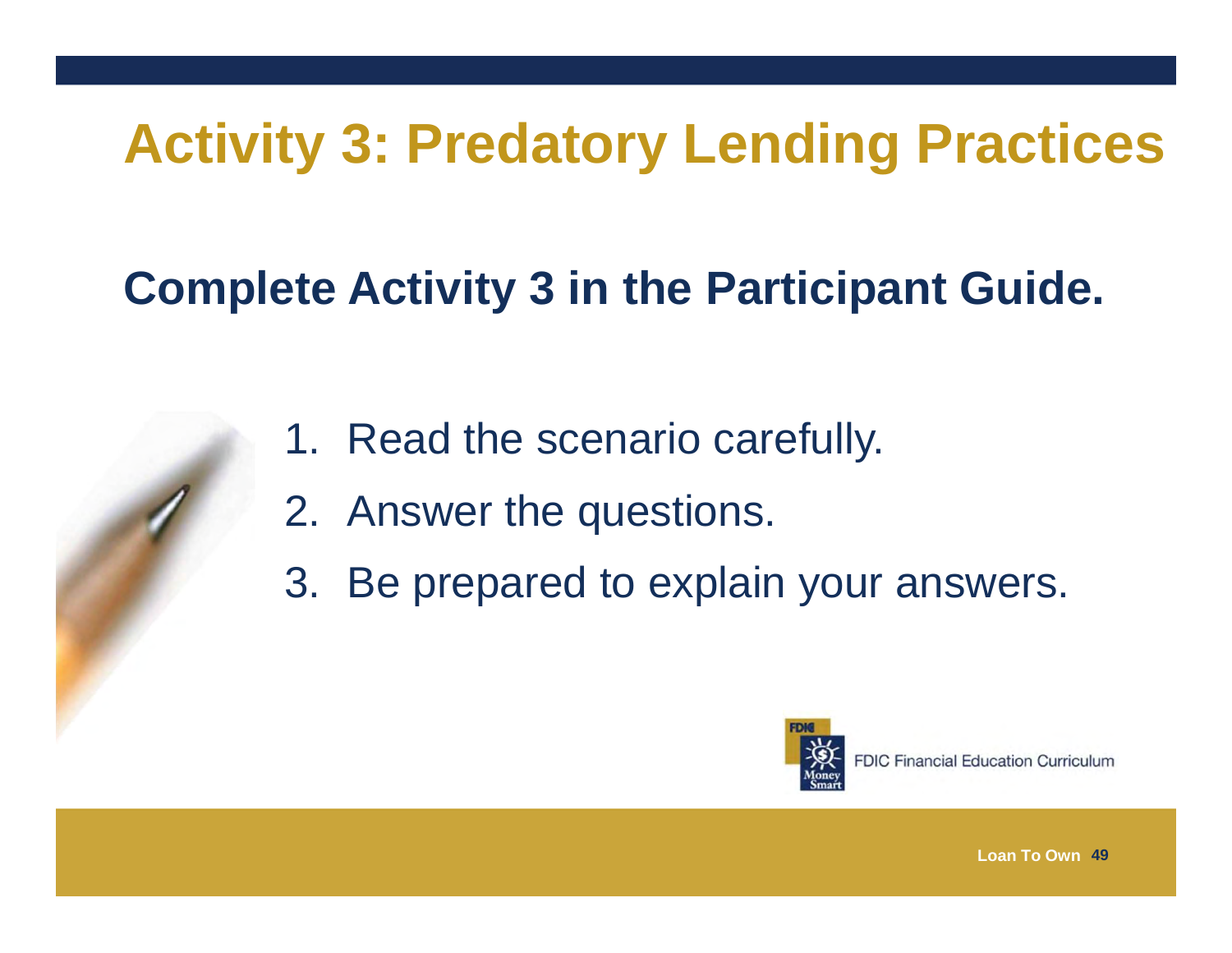# **Activity 3: Predatory Lending Practices**

#### **Complete Activity 3 in the Participant Guide.**

- 1. Read the scenario carefully.
- 2. Answer the questions.
- 3. Be prepared to explain your answers.

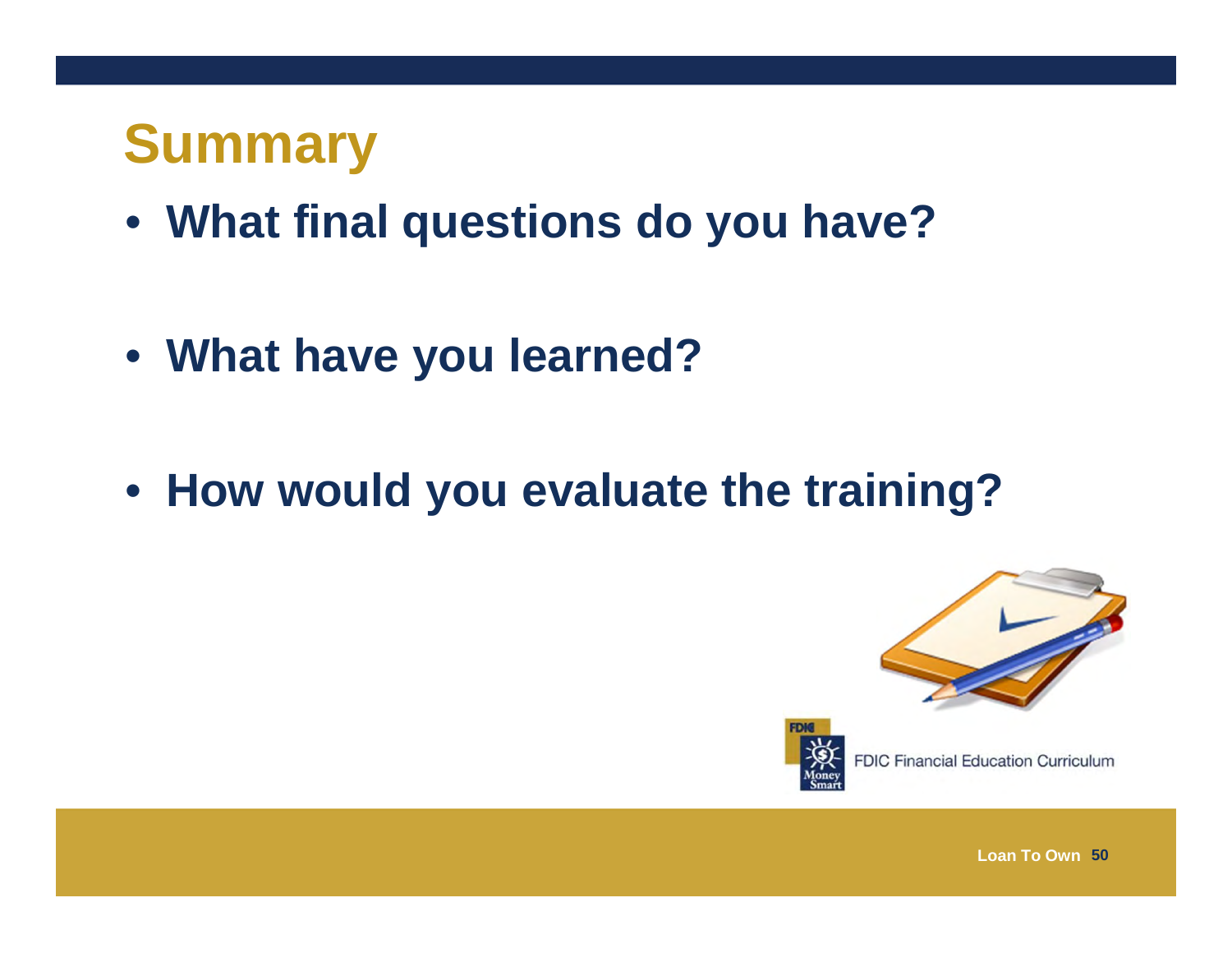#### **Summary**

- **What final questions do you have?**
- **What have you learned?**
- **How would you evaluate the training?**





**FDIC Financial Education Curriculum**